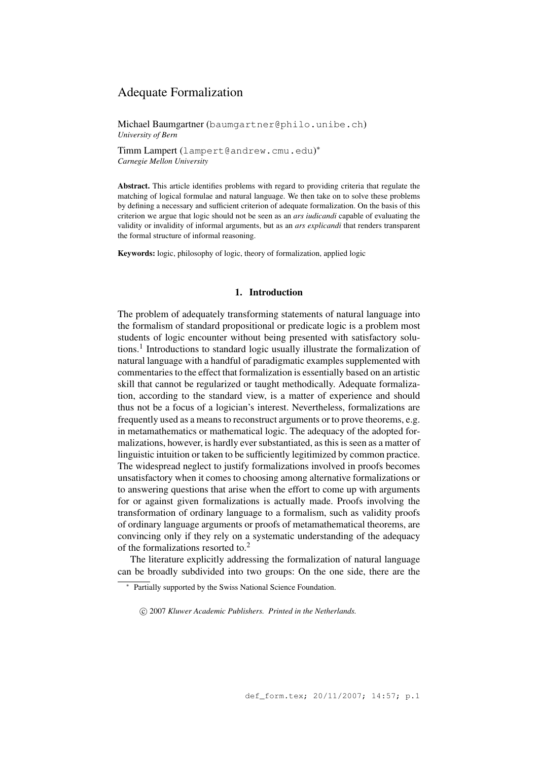# Adequate Formalization

Michael Baumgartner (baumgartner@philo.unibe.ch) *University of Bern*

Timm Lampert (lampert@andrew.cmu.edu) ∗ *Carnegie Mellon University*

Abstract. This article identifies problems with regard to providing criteria that regulate the matching of logical formulae and natural language. We then take on to solve these problems by defining a necessary and sufficient criterion of adequate formalization. On the basis of this criterion we argue that logic should not be seen as an *ars iudicandi* capable of evaluating the validity or invalidity of informal arguments, but as an *ars explicandi* that renders transparent the formal structure of informal reasoning.

Keywords: logic, philosophy of logic, theory of formalization, applied logic

## 1. Introduction

The problem of adequately transforming statements of natural language into the formalism of standard propositional or predicate logic is a problem most students of logic encounter without being presented with satisfactory solutions.<sup>1</sup> Introductions to standard logic usually illustrate the formalization of natural language with a handful of paradigmatic examples supplemented with commentaries to the effect that formalization is essentially based on an artistic skill that cannot be regularized or taught methodically. Adequate formalization, according to the standard view, is a matter of experience and should thus not be a focus of a logician's interest. Nevertheless, formalizations are frequently used as a means to reconstruct arguments or to prove theorems, e.g. in metamathematics or mathematical logic. The adequacy of the adopted formalizations, however, is hardly ever substantiated, as this is seen as a matter of linguistic intuition or taken to be sufficiently legitimized by common practice. The widespread neglect to justify formalizations involved in proofs becomes unsatisfactory when it comes to choosing among alternative formalizations or to answering questions that arise when the effort to come up with arguments for or against given formalizations is actually made. Proofs involving the transformation of ordinary language to a formalism, such as validity proofs of ordinary language arguments or proofs of metamathematical theorems, are convincing only if they rely on a systematic understanding of the adequacy of the formalizations resorted to.<sup>2</sup>

The literature explicitly addressing the formalization of natural language can be broadly subdivided into two groups: On the one side, there are the

<sup>∗</sup> Partially supported by the Swiss National Science Foundation.

c 2007 *Kluwer Academic Publishers. Printed in the Netherlands.*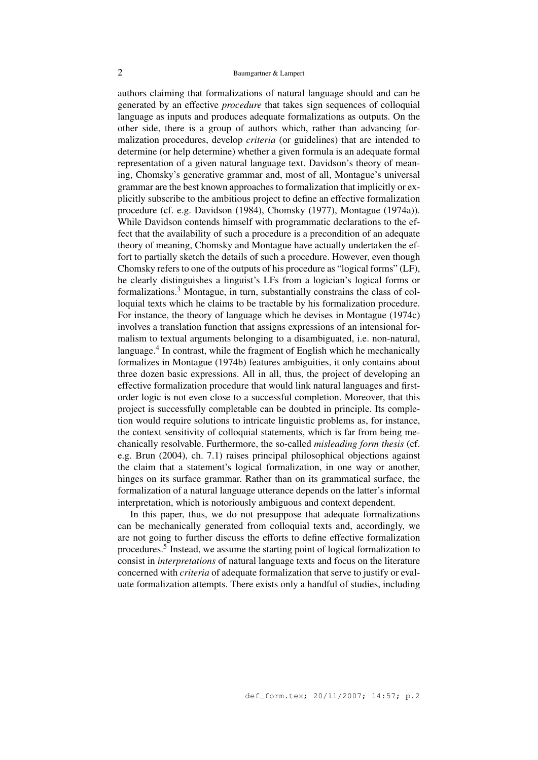authors claiming that formalizations of natural language should and can be generated by an effective *procedure* that takes sign sequences of colloquial language as inputs and produces adequate formalizations as outputs. On the other side, there is a group of authors which, rather than advancing formalization procedures, develop *criteria* (or guidelines) that are intended to determine (or help determine) whether a given formula is an adequate formal representation of a given natural language text. Davidson's theory of meaning, Chomsky's generative grammar and, most of all, Montague's universal grammar are the best known approaches to formalization that implicitly or explicitly subscribe to the ambitious project to define an effective formalization procedure (cf. e.g. Davidson (1984), Chomsky (1977), Montague (1974a)). While Davidson contends himself with programmatic declarations to the effect that the availability of such a procedure is a precondition of an adequate theory of meaning, Chomsky and Montague have actually undertaken the effort to partially sketch the details of such a procedure. However, even though Chomsky refers to one of the outputs of his procedure as "logical forms" (LF), he clearly distinguishes a linguist's LFs from a logician's logical forms or formalizations.<sup>3</sup> Montague, in turn, substantially constrains the class of colloquial texts which he claims to be tractable by his formalization procedure. For instance, the theory of language which he devises in Montague (1974c) involves a translation function that assigns expressions of an intensional formalism to textual arguments belonging to a disambiguated, i.e. non-natural, language.<sup>4</sup> In contrast, while the fragment of English which he mechanically formalizes in Montague (1974b) features ambiguities, it only contains about three dozen basic expressions. All in all, thus, the project of developing an effective formalization procedure that would link natural languages and firstorder logic is not even close to a successful completion. Moreover, that this project is successfully completable can be doubted in principle. Its completion would require solutions to intricate linguistic problems as, for instance, the context sensitivity of colloquial statements, which is far from being mechanically resolvable. Furthermore, the so-called *misleading form thesis* (cf. e.g. Brun (2004), ch. 7.1) raises principal philosophical objections against the claim that a statement's logical formalization, in one way or another, hinges on its surface grammar. Rather than on its grammatical surface, the formalization of a natural language utterance depends on the latter's informal interpretation, which is notoriously ambiguous and context dependent.

In this paper, thus, we do not presuppose that adequate formalizations can be mechanically generated from colloquial texts and, accordingly, we are not going to further discuss the efforts to define effective formalization procedures.<sup>5</sup> Instead, we assume the starting point of logical formalization to consist in *interpretations* of natural language texts and focus on the literature concerned with *criteria* of adequate formalization that serve to justify or evaluate formalization attempts. There exists only a handful of studies, including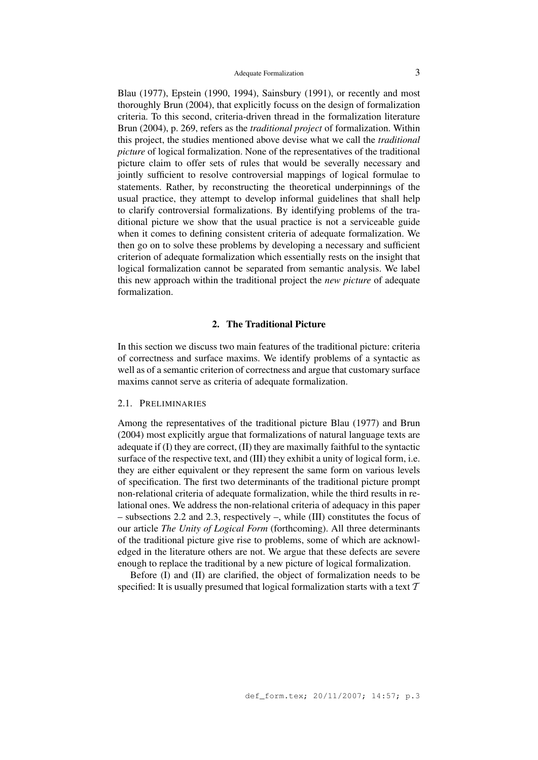Blau (1977), Epstein (1990, 1994), Sainsbury (1991), or recently and most thoroughly Brun (2004), that explicitly focuss on the design of formalization criteria. To this second, criteria-driven thread in the formalization literature Brun (2004), p. 269, refers as the *traditional project* of formalization. Within this project, the studies mentioned above devise what we call the *traditional picture* of logical formalization. None of the representatives of the traditional picture claim to offer sets of rules that would be severally necessary and jointly sufficient to resolve controversial mappings of logical formulae to statements. Rather, by reconstructing the theoretical underpinnings of the usual practice, they attempt to develop informal guidelines that shall help to clarify controversial formalizations. By identifying problems of the traditional picture we show that the usual practice is not a serviceable guide when it comes to defining consistent criteria of adequate formalization. We then go on to solve these problems by developing a necessary and sufficient criterion of adequate formalization which essentially rests on the insight that logical formalization cannot be separated from semantic analysis. We label this new approach within the traditional project the *new picture* of adequate formalization.

## 2. The Traditional Picture

In this section we discuss two main features of the traditional picture: criteria of correctness and surface maxims. We identify problems of a syntactic as well as of a semantic criterion of correctness and argue that customary surface maxims cannot serve as criteria of adequate formalization.

## 2.1. PRELIMINARIES

Among the representatives of the traditional picture Blau (1977) and Brun (2004) most explicitly argue that formalizations of natural language texts are adequate if (I) they are correct, (II) they are maximally faithful to the syntactic surface of the respective text, and (III) they exhibit a unity of logical form, i.e. they are either equivalent or they represent the same form on various levels of specification. The first two determinants of the traditional picture prompt non-relational criteria of adequate formalization, while the third results in relational ones. We address the non-relational criteria of adequacy in this paper – subsections 2.2 and 2.3, respectively –, while (III) constitutes the focus of our article *The Unity of Logical Form* (forthcoming). All three determinants of the traditional picture give rise to problems, some of which are acknowledged in the literature others are not. We argue that these defects are severe enough to replace the traditional by a new picture of logical formalization.

Before (I) and (II) are clarified, the object of formalization needs to be specified: It is usually presumed that logical formalization starts with a text  $T$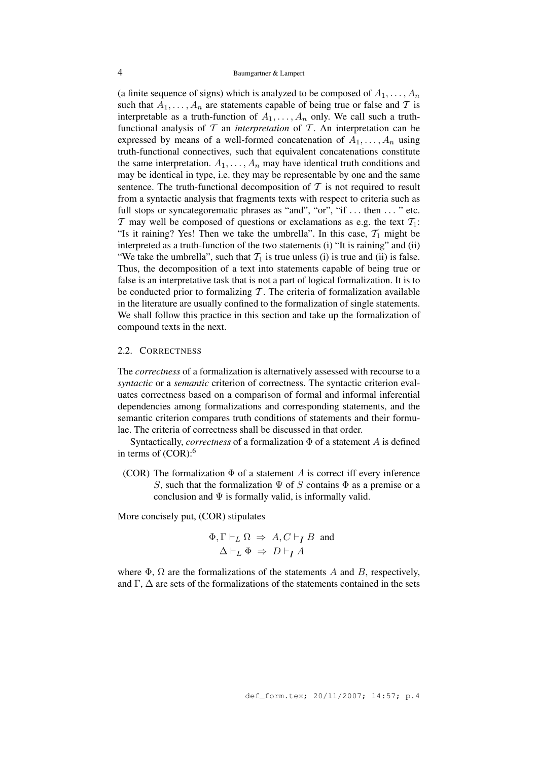(a finite sequence of signs) which is analyzed to be composed of  $A_1, \ldots, A_n$ such that  $A_1, \ldots, A_n$  are statements capable of being true or false and T is interpretable as a truth-function of  $A_1, \ldots, A_n$  only. We call such a truthfunctional analysis of  $T$  an *interpretation* of  $T$ . An interpretation can be expressed by means of a well-formed concatenation of  $A_1, \ldots, A_n$  using truth-functional connectives, such that equivalent concatenations constitute the same interpretation.  $A_1, \ldots, A_n$  may have identical truth conditions and may be identical in type, i.e. they may be representable by one and the same sentence. The truth-functional decomposition of  $T$  is not required to result from a syntactic analysis that fragments texts with respect to criteria such as full stops or syncategorematic phrases as "and", "or", "if ... then ... " etc.  $\mathcal T$  may well be composed of questions or exclamations as e.g. the text  $\mathcal T_1$ : "Is it raining? Yes! Then we take the umbrella". In this case,  $\mathcal{T}_1$  might be interpreted as a truth-function of the two statements (i) "It is raining" and (ii) "We take the umbrella", such that  $T_1$  is true unless (i) is true and (ii) is false. Thus, the decomposition of a text into statements capable of being true or false is an interpretative task that is not a part of logical formalization. It is to be conducted prior to formalizing  $\mathcal T$ . The criteria of formalization available in the literature are usually confined to the formalization of single statements. We shall follow this practice in this section and take up the formalization of compound texts in the next.

## 2.2. CORRECTNESS

The *correctness* of a formalization is alternatively assessed with recourse to a *syntactic* or a *semantic* criterion of correctness. The syntactic criterion evaluates correctness based on a comparison of formal and informal inferential dependencies among formalizations and corresponding statements, and the semantic criterion compares truth conditions of statements and their formulae. The criteria of correctness shall be discussed in that order.

Syntactically, *correctness* of a formalization Φ of a statement A is defined in terms of  $(COR)$ :<sup>6</sup>

(COR) The formalization  $\Phi$  of a statement A is correct iff every inference S, such that the formalization  $\Psi$  of S contains  $\Phi$  as a premise or a conclusion and  $\Psi$  is formally valid, is informally valid.

More concisely put, (COR) stipulates

$$
\Phi, \Gamma \vdash_L \Omega \Rightarrow A, C \vdash_I B \text{ and} \Delta \vdash_L \Phi \Rightarrow D \vdash_I A
$$

where  $\Phi$ ,  $\Omega$  are the formalizations of the statements A and B, respectively, and Γ,  $\Delta$  are sets of the formalizations of the statements contained in the sets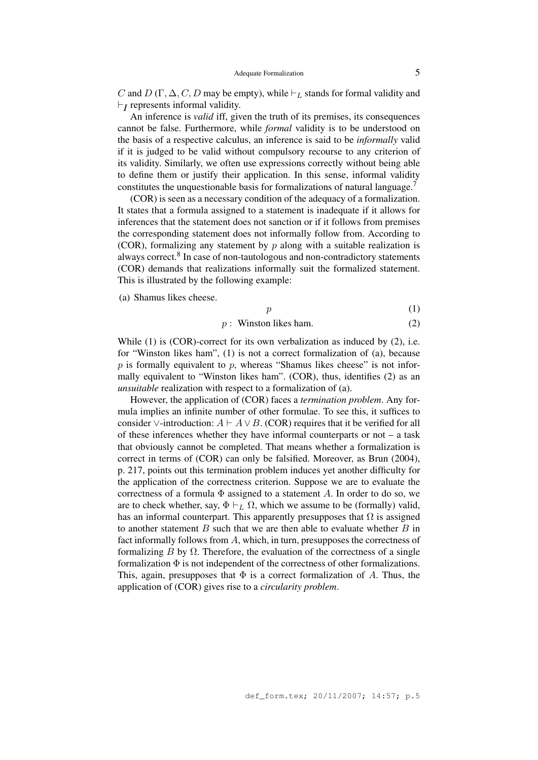C and D (Γ, Δ, C, D may be empty), while  $\vdash_L$  stands for formal validity and  $\vdash_I$  represents informal validity.

An inference is *valid* iff, given the truth of its premises, its consequences cannot be false. Furthermore, while *formal* validity is to be understood on the basis of a respective calculus, an inference is said to be *informally* valid if it is judged to be valid without compulsory recourse to any criterion of its validity. Similarly, we often use expressions correctly without being able to define them or justify their application. In this sense, informal validity constitutes the unquestionable basis for formalizations of natural language.<sup>7</sup>

(COR) is seen as a necessary condition of the adequacy of a formalization. It states that a formula assigned to a statement is inadequate if it allows for inferences that the statement does not sanction or if it follows from premises the corresponding statement does not informally follow from. According to (COR), formalizing any statement by  $p$  along with a suitable realization is always correct.<sup>8</sup> In case of non-tautologous and non-contradictory statements (COR) demands that realizations informally suit the formalized statement. This is illustrated by the following example:

(a) Shamus likes cheese.

$$
p \tag{1}
$$

## $p :$  Winston likes ham. (2)

While (1) is (COR)-correct for its own verbalization as induced by (2), i.e. for "Winston likes ham", (1) is not a correct formalization of (a), because  $p$  is formally equivalent to  $p$ , whereas "Shamus likes cheese" is not informally equivalent to "Winston likes ham". (COR), thus, identifies (2) as an *unsuitable* realization with respect to a formalization of (a).

However, the application of (COR) faces a *termination problem*. Any formula implies an infinite number of other formulae. To see this, it suffices to consider ∨-introduction:  $A \vdash A \lor B$ . (COR) requires that it be verified for all of these inferences whether they have informal counterparts or not – a task that obviously cannot be completed. That means whether a formalization is correct in terms of (COR) can only be falsified. Moreover, as Brun (2004), p. 217, points out this termination problem induces yet another difficulty for the application of the correctness criterion. Suppose we are to evaluate the correctness of a formula  $\Phi$  assigned to a statement A. In order to do so, we are to check whether, say,  $\Phi \vdash_L \Omega$ , which we assume to be (formally) valid, has an informal counterpart. This apparently presupposes that  $\Omega$  is assigned to another statement  $B$  such that we are then able to evaluate whether  $B$  in fact informally follows from A, which, in turn, presupposes the correctness of formalizing B by  $\Omega$ . Therefore, the evaluation of the correctness of a single formalization  $\Phi$  is not independent of the correctness of other formalizations. This, again, presupposes that  $\Phi$  is a correct formalization of A. Thus, the application of (COR) gives rise to a *circularity problem*.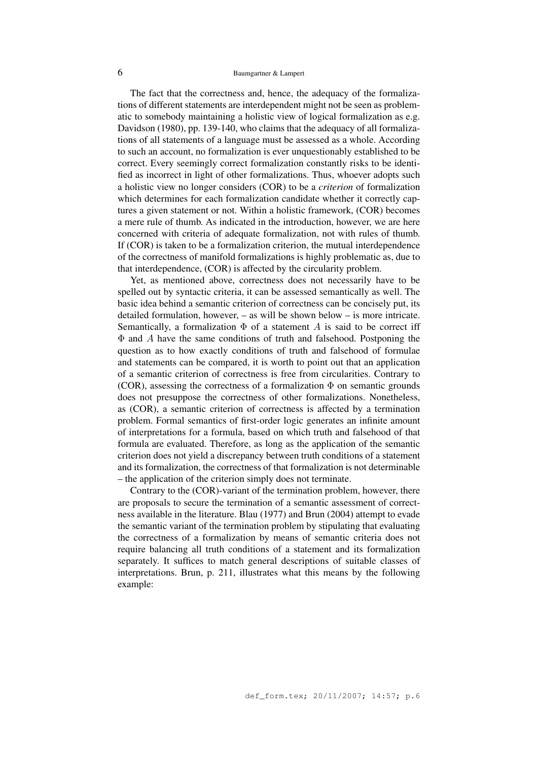The fact that the correctness and, hence, the adequacy of the formalizations of different statements are interdependent might not be seen as problematic to somebody maintaining a holistic view of logical formalization as e.g. Davidson (1980), pp. 139-140, who claims that the adequacy of all formalizations of all statements of a language must be assessed as a whole. According to such an account, no formalization is ever unquestionably established to be correct. Every seemingly correct formalization constantly risks to be identified as incorrect in light of other formalizations. Thus, whoever adopts such a holistic view no longer considers (COR) to be a *criterion* of formalization which determines for each formalization candidate whether it correctly captures a given statement or not. Within a holistic framework, (COR) becomes a mere rule of thumb. As indicated in the introduction, however, we are here concerned with criteria of adequate formalization, not with rules of thumb. If (COR) is taken to be a formalization criterion, the mutual interdependence of the correctness of manifold formalizations is highly problematic as, due to that interdependence, (COR) is affected by the circularity problem.

Yet, as mentioned above, correctness does not necessarily have to be spelled out by syntactic criteria, it can be assessed semantically as well. The basic idea behind a semantic criterion of correctness can be concisely put, its detailed formulation, however, – as will be shown below – is more intricate. Semantically, a formalization  $\Phi$  of a statement A is said to be correct iff  $\Phi$  and A have the same conditions of truth and falsehood. Postponing the question as to how exactly conditions of truth and falsehood of formulae and statements can be compared, it is worth to point out that an application of a semantic criterion of correctness is free from circularities. Contrary to (COR), assessing the correctness of a formalization  $\Phi$  on semantic grounds does not presuppose the correctness of other formalizations. Nonetheless, as (COR), a semantic criterion of correctness is affected by a termination problem. Formal semantics of first-order logic generates an infinite amount of interpretations for a formula, based on which truth and falsehood of that formula are evaluated. Therefore, as long as the application of the semantic criterion does not yield a discrepancy between truth conditions of a statement and its formalization, the correctness of that formalization is not determinable – the application of the criterion simply does not terminate.

Contrary to the (COR)-variant of the termination problem, however, there are proposals to secure the termination of a semantic assessment of correctness available in the literature. Blau (1977) and Brun (2004) attempt to evade the semantic variant of the termination problem by stipulating that evaluating the correctness of a formalization by means of semantic criteria does not require balancing all truth conditions of a statement and its formalization separately. It suffices to match general descriptions of suitable classes of interpretations. Brun, p. 211, illustrates what this means by the following example: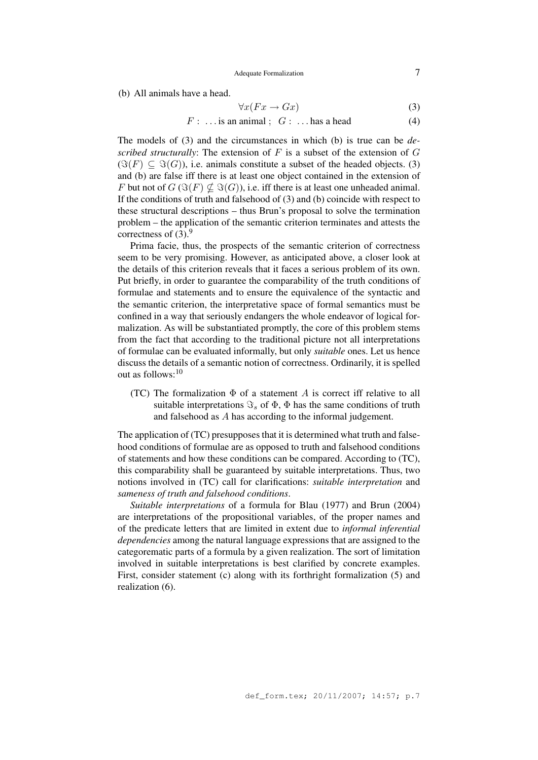(b) All animals have a head.

$$
\forall x (Fx \to Gx) \tag{3}
$$

$$
F: \ldots \text{ is an animal}; \quad G: \ldots \text{ has a head} \tag{4}
$$

The models of (3) and the circumstances in which (b) is true can be *described structurally*: The extension of F is a subset of the extension of G  $(\Im(F) \subseteq \Im(G)$ ), i.e. animals constitute a subset of the headed objects. (3) and (b) are false iff there is at least one object contained in the extension of F but not of  $G(\Im(F) \nsubseteq \Im(G))$ , i.e. iff there is at least one unheaded animal. If the conditions of truth and falsehood of (3) and (b) coincide with respect to these structural descriptions – thus Brun's proposal to solve the termination problem – the application of the semantic criterion terminates and attests the correctness of  $(3)$ .<sup>9</sup>

Prima facie, thus, the prospects of the semantic criterion of correctness seem to be very promising. However, as anticipated above, a closer look at the details of this criterion reveals that it faces a serious problem of its own. Put briefly, in order to guarantee the comparability of the truth conditions of formulae and statements and to ensure the equivalence of the syntactic and the semantic criterion, the interpretative space of formal semantics must be confined in a way that seriously endangers the whole endeavor of logical formalization. As will be substantiated promptly, the core of this problem stems from the fact that according to the traditional picture not all interpretations of formulae can be evaluated informally, but only *suitable* ones. Let us hence discuss the details of a semantic notion of correctness. Ordinarily, it is spelled out as follows:<sup>10</sup>

(TC) The formalization  $\Phi$  of a statement A is correct iff relative to all suitable interpretations  $\Im_s$  of  $\Phi$ ,  $\Phi$  has the same conditions of truth and falsehood as A has according to the informal judgement.

The application of (TC) presupposes that it is determined what truth and falsehood conditions of formulae are as opposed to truth and falsehood conditions of statements and how these conditions can be compared. According to (TC), this comparability shall be guaranteed by suitable interpretations. Thus, two notions involved in (TC) call for clarifications: *suitable interpretation* and *sameness of truth and falsehood conditions*.

*Suitable interpretations* of a formula for Blau (1977) and Brun (2004) are interpretations of the propositional variables, of the proper names and of the predicate letters that are limited in extent due to *informal inferential dependencies* among the natural language expressions that are assigned to the categorematic parts of a formula by a given realization. The sort of limitation involved in suitable interpretations is best clarified by concrete examples. First, consider statement (c) along with its forthright formalization (5) and realization (6).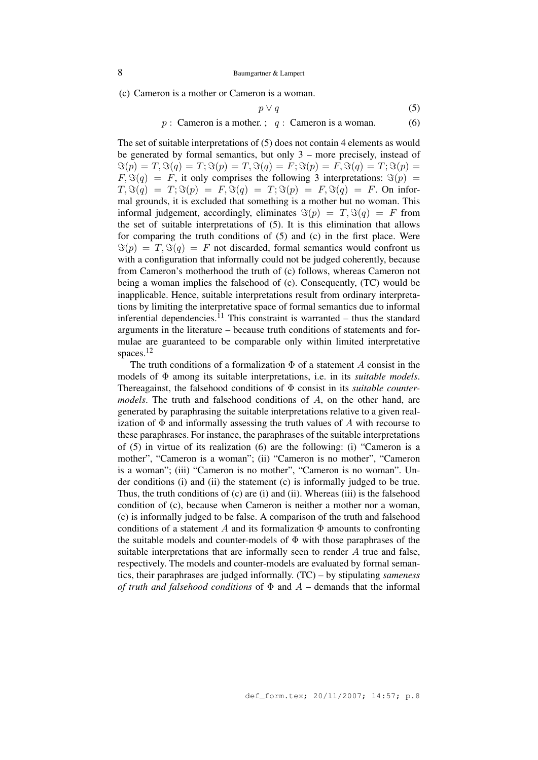(c) Cameron is a mother or Cameron is a woman.

$$
p \lor q \tag{5}
$$

$$
p: Cameron is a mother.; q: Cameron is a woman. \t(6)
$$

The set of suitable interpretations of (5) does not contain 4 elements as would be generated by formal semantics, but only  $3$  – more precisely, instead of  $\Im(p) = T, \Im(q) = T; \Im(p) = T, \Im(q) = F; \Im(p) = F, \Im(q) = T; \Im(p) = T$  $F, \Im(q) = F$ , it only comprises the following 3 interpretations:  $\Im(p) =$  $T, \Im(q) = T; \Im(p) = F, \Im(q) = T; \Im(p) = F, \Im(q) = F.$  On informal grounds, it is excluded that something is a mother but no woman. This informal judgement, accordingly, eliminates  $\Im(p) = T, \Im(q) = F$  from the set of suitable interpretations of (5). It is this elimination that allows for comparing the truth conditions of (5) and (c) in the first place. Were  $\Im(p) = T$ ,  $\Im(q) = F$  not discarded, formal semantics would confront us with a configuration that informally could not be judged coherently, because from Cameron's motherhood the truth of (c) follows, whereas Cameron not being a woman implies the falsehood of (c). Consequently, (TC) would be inapplicable. Hence, suitable interpretations result from ordinary interpretations by limiting the interpretative space of formal semantics due to informal inferential dependencies.<sup>11</sup> This constraint is warranted – thus the standard arguments in the literature – because truth conditions of statements and formulae are guaranteed to be comparable only within limited interpretative spaces.<sup>12</sup>

The truth conditions of a formalization  $\Phi$  of a statement A consist in the models of Φ among its suitable interpretations, i.e. in its *suitable models*. Thereagainst, the falsehood conditions of Φ consist in its *suitable countermodels*. The truth and falsehood conditions of A, on the other hand, are generated by paraphrasing the suitable interpretations relative to a given realization of  $\Phi$  and informally assessing the truth values of A with recourse to these paraphrases. For instance, the paraphrases of the suitable interpretations of (5) in virtue of its realization (6) are the following: (i) "Cameron is a mother", "Cameron is a woman"; (ii) "Cameron is no mother", "Cameron is a woman"; (iii) "Cameron is no mother", "Cameron is no woman". Under conditions (i) and (ii) the statement (c) is informally judged to be true. Thus, the truth conditions of (c) are (i) and (ii). Whereas (iii) is the falsehood condition of (c), because when Cameron is neither a mother nor a woman, (c) is informally judged to be false. A comparison of the truth and falsehood conditions of a statement A and its formalization  $\Phi$  amounts to confronting the suitable models and counter-models of  $\Phi$  with those paraphrases of the suitable interpretations that are informally seen to render A true and false, respectively. The models and counter-models are evaluated by formal semantics, their paraphrases are judged informally. (TC) – by stipulating *sameness of truth and falsehood conditions* of Φ and A – demands that the informal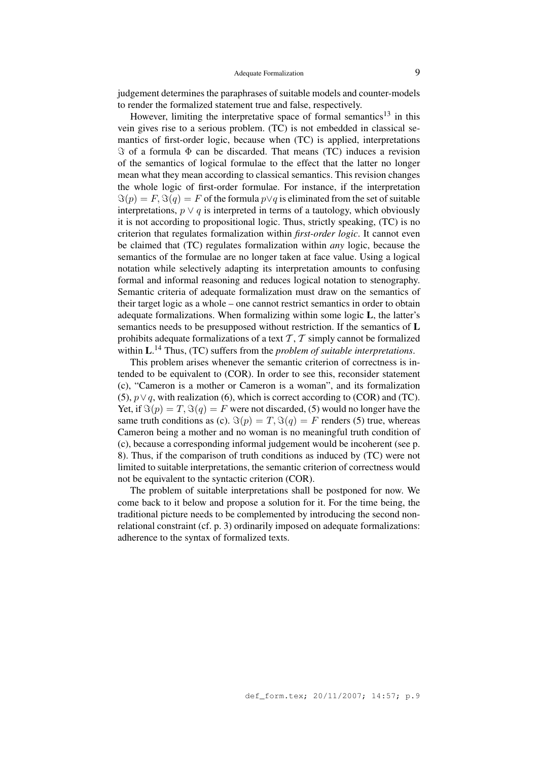judgement determines the paraphrases of suitable models and counter-models to render the formalized statement true and false, respectively.

However, limiting the interpretative space of formal semantics<sup>13</sup> in this vein gives rise to a serious problem. (TC) is not embedded in classical semantics of first-order logic, because when (TC) is applied, interpretations  $\Im$  of a formula  $\Phi$  can be discarded. That means (TC) induces a revision of the semantics of logical formulae to the effect that the latter no longer mean what they mean according to classical semantics. This revision changes the whole logic of first-order formulae. For instance, if the interpretation  $\Im(p) = F$ ,  $\Im(q) = F$  of the formula  $p \lor q$  is eliminated from the set of suitable interpretations,  $p \vee q$  is interpreted in terms of a tautology, which obviously it is not according to propositional logic. Thus, strictly speaking, (TC) is no criterion that regulates formalization within *first-order logic*. It cannot even be claimed that (TC) regulates formalization within *any* logic, because the semantics of the formulae are no longer taken at face value. Using a logical notation while selectively adapting its interpretation amounts to confusing formal and informal reasoning and reduces logical notation to stenography. Semantic criteria of adequate formalization must draw on the semantics of their target logic as a whole – one cannot restrict semantics in order to obtain adequate formalizations. When formalizing within some logic L, the latter's semantics needs to be presupposed without restriction. If the semantics of L prohibits adequate formalizations of a text  $\mathcal{T}, \mathcal{T}$  simply cannot be formalized within L. <sup>14</sup> Thus, (TC) suffers from the *problem of suitable interpretations*.

This problem arises whenever the semantic criterion of correctness is intended to be equivalent to (COR). In order to see this, reconsider statement (c), "Cameron is a mother or Cameron is a woman", and its formalization (5),  $p \lor q$ , with realization (6), which is correct according to (COR) and (TC). Yet, if  $\Im(p) = T$ ,  $\Im(q) = F$  were not discarded, (5) would no longer have the same truth conditions as (c).  $\Im(p) = T$ ,  $\Im(q) = F$  renders (5) true, whereas Cameron being a mother and no woman is no meaningful truth condition of (c), because a corresponding informal judgement would be incoherent (see p. 8). Thus, if the comparison of truth conditions as induced by (TC) were not limited to suitable interpretations, the semantic criterion of correctness would not be equivalent to the syntactic criterion (COR).

The problem of suitable interpretations shall be postponed for now. We come back to it below and propose a solution for it. For the time being, the traditional picture needs to be complemented by introducing the second nonrelational constraint (cf. p. 3) ordinarily imposed on adequate formalizations: adherence to the syntax of formalized texts.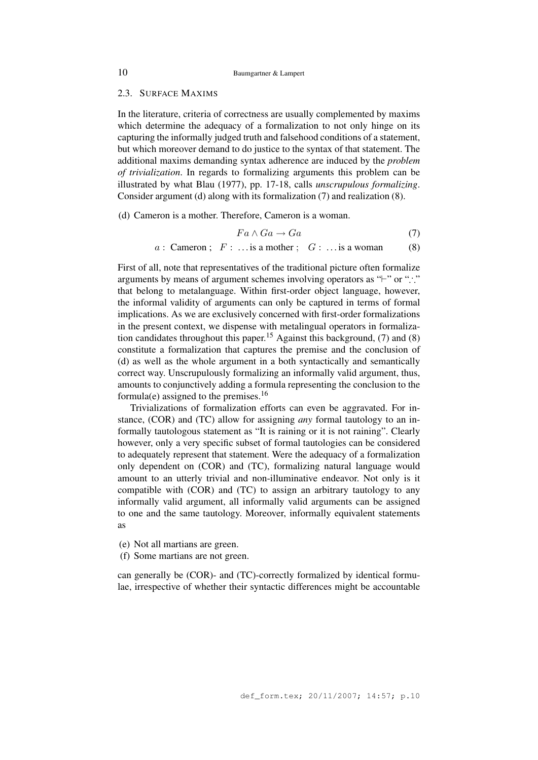### 2.3. SURFACE MAXIMS

In the literature, criteria of correctness are usually complemented by maxims which determine the adequacy of a formalization to not only hinge on its capturing the informally judged truth and falsehood conditions of a statement, but which moreover demand to do justice to the syntax of that statement. The additional maxims demanding syntax adherence are induced by the *problem of trivialization*. In regards to formalizing arguments this problem can be illustrated by what Blau (1977), pp. 17-18, calls *unscrupulous formalizing*. Consider argument (d) along with its formalization (7) and realization (8).

(d) Cameron is a mother. Therefore, Cameron is a woman.

$$
Fa \wedge Ga \to Ga \tag{7}
$$

$$
a: Cameron; F: \dots \text{is a mother}; G: \dots \text{is a woman} \qquad (8)
$$

First of all, note that representatives of the traditional picture often formalize arguments by means of argument schemes involving operators as " $\vdash$ " or "∴" that belong to metalanguage. Within first-order object language, however, the informal validity of arguments can only be captured in terms of formal implications. As we are exclusively concerned with first-order formalizations in the present context, we dispense with metalingual operators in formalization candidates throughout this paper.<sup>15</sup> Against this background,  $(7)$  and  $(8)$ constitute a formalization that captures the premise and the conclusion of (d) as well as the whole argument in a both syntactically and semantically correct way. Unscrupulously formalizing an informally valid argument, thus, amounts to conjunctively adding a formula representing the conclusion to the formula(e) assigned to the premises.<sup>16</sup>

Trivializations of formalization efforts can even be aggravated. For instance, (COR) and (TC) allow for assigning *any* formal tautology to an informally tautologous statement as "It is raining or it is not raining". Clearly however, only a very specific subset of formal tautologies can be considered to adequately represent that statement. Were the adequacy of a formalization only dependent on (COR) and (TC), formalizing natural language would amount to an utterly trivial and non-illuminative endeavor. Not only is it compatible with (COR) and (TC) to assign an arbitrary tautology to any informally valid argument, all informally valid arguments can be assigned to one and the same tautology. Moreover, informally equivalent statements as

- (e) Not all martians are green.
- (f) Some martians are not green.

can generally be (COR)- and (TC)-correctly formalized by identical formulae, irrespective of whether their syntactic differences might be accountable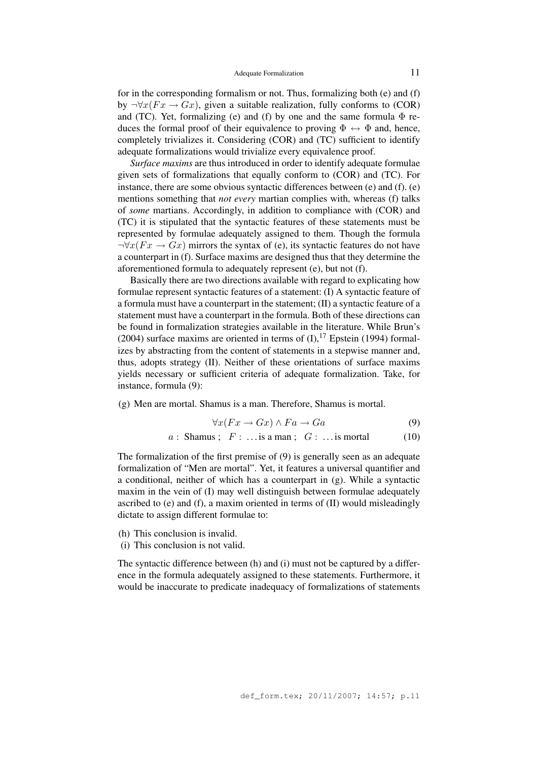for in the corresponding formalism or not. Thus, formalizing both (e) and (f) by  $\neg \forall x (Fx \rightarrow Gx)$ , given a suitable realization, fully conforms to (COR) and (TC). Yet, formalizing (e) and (f) by one and the same formula  $\Phi$  reduces the formal proof of their equivalence to proving  $\Phi \leftrightarrow \Phi$  and, hence, completely trivializes it. Considering (COR) and (TC) sufficient to identify adequate formalizations would trivialize every equivalence proof.

*Surface maxims* are thus introduced in order to identify adequate formulae given sets of formalizations that equally conform to (COR) and (TC). For instance, there are some obvious syntactic differences between (e) and (f). (e) mentions something that *not every* martian complies with, whereas (f) talks of *some* martians. Accordingly, in addition to compliance with (COR) and (TC) it is stipulated that the syntactic features of these statements must be represented by formulae adequately assigned to them. Though the formula  $\neg \forall x (Fx \rightarrow Gx)$  mirrors the syntax of (e), its syntactic features do not have a counterpart in (f). Surface maxims are designed thus that they determine the aforementioned formula to adequately represent (e), but not (f).

Basically there are two directions available with regard to explicating how formulae represent syntactic features of a statement: (I) A syntactic feature of a formula must have a counterpart in the statement; (II) a syntactic feature of a statement must have a counterpart in the formula. Both of these directions can be found in formalization strategies available in the literature. While Brun's (2004) surface maxims are oriented in terms of  $(I)$ , <sup>17</sup> Epstein (1994) formalizes by abstracting from the content of statements in a stepwise manner and, thus, adopts strategy (II). Neither of these orientations of surface maxims yields necessary or sufficient criteria of adequate formalization. Take, for instance, formula (9):

(g) Men are mortal. Shamus is a man. Therefore, Shamus is mortal.

$$
\forall x (Fx \to Gx) \land Fa \to Ga \tag{9}
$$

$$
a: Shamus; F: \dots is a man; G: \dots is mortal
$$
 (10)

The formalization of the first premise of (9) is generally seen as an adequate formalization of "Men are mortal". Yet, it features a universal quantifier and a conditional, neither of which has a counterpart in (g). While a syntactic maxim in the vein of (I) may well distinguish between formulae adequately ascribed to (e) and (f), a maxim oriented in terms of (II) would misleadingly dictate to assign different formulae to:

- (h) This conclusion is invalid.
- (i) This conclusion is not valid.

The syntactic difference between (h) and (i) must not be captured by a difference in the formula adequately assigned to these statements. Furthermore, it would be inaccurate to predicate inadequacy of formalizations of statements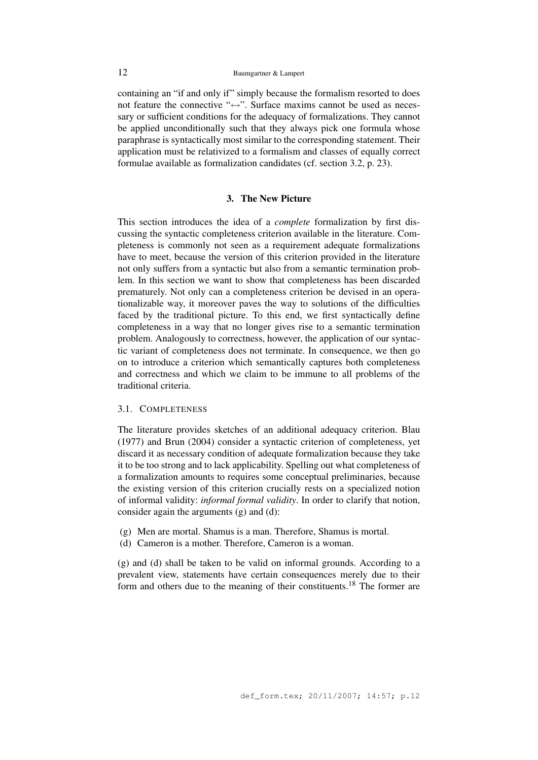containing an "if and only if" simply because the formalism resorted to does not feature the connective " $\leftrightarrow$ ". Surface maxims cannot be used as necessary or sufficient conditions for the adequacy of formalizations. They cannot be applied unconditionally such that they always pick one formula whose paraphrase is syntactically most similar to the corresponding statement. Their application must be relativized to a formalism and classes of equally correct formulae available as formalization candidates (cf. section 3.2, p. 23).

## 3. The New Picture

This section introduces the idea of a *complete* formalization by first discussing the syntactic completeness criterion available in the literature. Completeness is commonly not seen as a requirement adequate formalizations have to meet, because the version of this criterion provided in the literature not only suffers from a syntactic but also from a semantic termination problem. In this section we want to show that completeness has been discarded prematurely. Not only can a completeness criterion be devised in an operationalizable way, it moreover paves the way to solutions of the difficulties faced by the traditional picture. To this end, we first syntactically define completeness in a way that no longer gives rise to a semantic termination problem. Analogously to correctness, however, the application of our syntactic variant of completeness does not terminate. In consequence, we then go on to introduce a criterion which semantically captures both completeness and correctness and which we claim to be immune to all problems of the traditional criteria.

## 3.1. COMPLETENESS

The literature provides sketches of an additional adequacy criterion. Blau (1977) and Brun (2004) consider a syntactic criterion of completeness, yet discard it as necessary condition of adequate formalization because they take it to be too strong and to lack applicability. Spelling out what completeness of a formalization amounts to requires some conceptual preliminaries, because the existing version of this criterion crucially rests on a specialized notion of informal validity: *informal formal validity*. In order to clarify that notion, consider again the arguments (g) and (d):

- (g) Men are mortal. Shamus is a man. Therefore, Shamus is mortal.
- (d) Cameron is a mother. Therefore, Cameron is a woman.

(g) and (d) shall be taken to be valid on informal grounds. According to a prevalent view, statements have certain consequences merely due to their form and others due to the meaning of their constituents.<sup>18</sup> The former are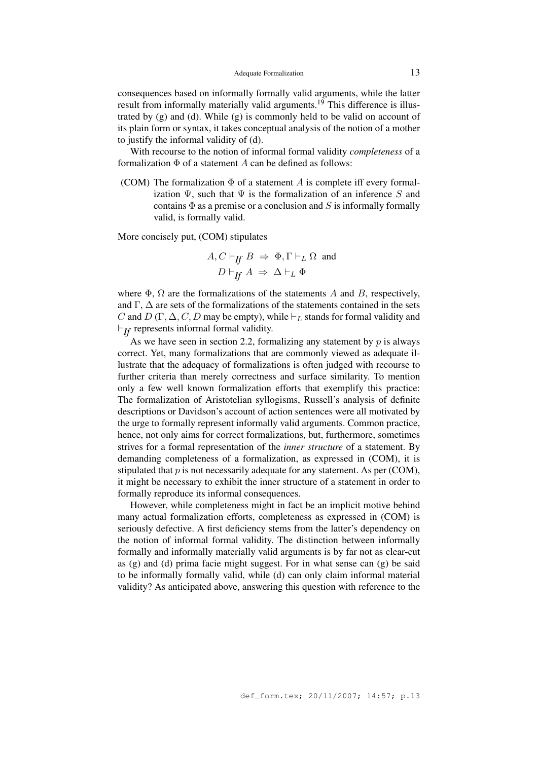consequences based on informally formally valid arguments, while the latter result from informally materially valid arguments.<sup>19</sup> This difference is illustrated by  $(g)$  and  $(d)$ . While  $(g)$  is commonly held to be valid on account of its plain form or syntax, it takes conceptual analysis of the notion of a mother to justify the informal validity of (d).

With recourse to the notion of informal formal validity *completeness* of a formalization  $\Phi$  of a statement A can be defined as follows:

(COM) The formalization  $\Phi$  of a statement A is complete iff every formalization  $\Psi$ , such that  $\Psi$  is the formalization of an inference S and contains  $\Phi$  as a premise or a conclusion and S is informally formally valid, is formally valid.

More concisely put, (COM) stipulates

$$
A, C \vdash_{\text{If}} B \Rightarrow \Phi, \Gamma \vdash_L \Omega \text{ and}
$$

$$
D \vdash_{\text{If}} A \Rightarrow \Delta \vdash_L \Phi
$$

where  $\Phi$ ,  $\Omega$  are the formalizations of the statements A and B, respectively, and Γ,  $\Delta$  are sets of the formalizations of the statements contained in the sets C and D (Γ, Δ, C, D may be empty), while  $\vdash_L$  stands for formal validity and  $\vdash_{\textit{If}}$  represents informal formal validity.

As we have seen in section 2.2, formalizing any statement by  $p$  is always correct. Yet, many formalizations that are commonly viewed as adequate illustrate that the adequacy of formalizations is often judged with recourse to further criteria than merely correctness and surface similarity. To mention only a few well known formalization efforts that exemplify this practice: The formalization of Aristotelian syllogisms, Russell's analysis of definite descriptions or Davidson's account of action sentences were all motivated by the urge to formally represent informally valid arguments. Common practice, hence, not only aims for correct formalizations, but, furthermore, sometimes strives for a formal representation of the *inner structure* of a statement. By demanding completeness of a formalization, as expressed in (COM), it is stipulated that  $p$  is not necessarily adequate for any statement. As per (COM), it might be necessary to exhibit the inner structure of a statement in order to formally reproduce its informal consequences.

However, while completeness might in fact be an implicit motive behind many actual formalization efforts, completeness as expressed in (COM) is seriously defective. A first deficiency stems from the latter's dependency on the notion of informal formal validity. The distinction between informally formally and informally materially valid arguments is by far not as clear-cut as (g) and (d) prima facie might suggest. For in what sense can (g) be said to be informally formally valid, while (d) can only claim informal material validity? As anticipated above, answering this question with reference to the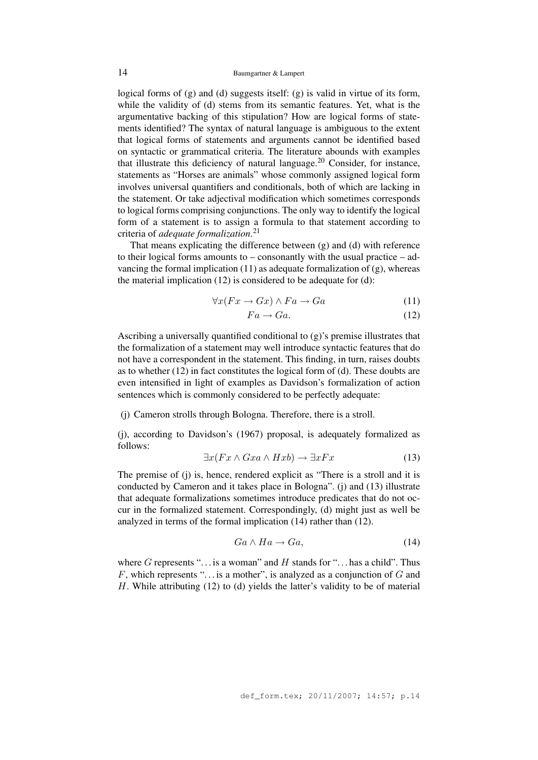logical forms of (g) and (d) suggests itself: (g) is valid in virtue of its form, while the validity of (d) stems from its semantic features. Yet, what is the argumentative backing of this stipulation? How are logical forms of statements identified? The syntax of natural language is ambiguous to the extent that logical forms of statements and arguments cannot be identified based on syntactic or grammatical criteria. The literature abounds with examples that illustrate this deficiency of natural language.<sup>20</sup> Consider, for instance, statements as "Horses are animals" whose commonly assigned logical form involves universal quantifiers and conditionals, both of which are lacking in the statement. Or take adjectival modification which sometimes corresponds to logical forms comprising conjunctions. The only way to identify the logical form of a statement is to assign a formula to that statement according to criteria of *adequate formalization*. 21

That means explicating the difference between (g) and (d) with reference to their logical forms amounts to – consonantly with the usual practice –  $ad$ vancing the formal implication  $(11)$  as adequate formalization of  $(g)$ , whereas the material implication (12) is considered to be adequate for (d):

$$
\forall x (Fx \to Gx) \land Fa \to Ga \tag{11}
$$

$$
Fa \to Ga. \tag{12}
$$

Ascribing a universally quantified conditional to (g)'s premise illustrates that the formalization of a statement may well introduce syntactic features that do not have a correspondent in the statement. This finding, in turn, raises doubts as to whether (12) in fact constitutes the logical form of (d). These doubts are even intensified in light of examples as Davidson's formalization of action sentences which is commonly considered to be perfectly adequate:

(j) Cameron strolls through Bologna. Therefore, there is a stroll.

(j), according to Davidson's (1967) proposal, is adequately formalized as follows:

$$
\exists x (Fx \land Gxa \land Hxb) \rightarrow \exists x Fx \tag{13}
$$

The premise of (j) is, hence, rendered explicit as "There is a stroll and it is conducted by Cameron and it takes place in Bologna". (j) and (13) illustrate that adequate formalizations sometimes introduce predicates that do not occur in the formalized statement. Correspondingly, (d) might just as well be analyzed in terms of the formal implication (14) rather than (12).

$$
Ga \wedge Ha \to Ga,\tag{14}
$$

where G represents " $\dots$  is a woman" and H stands for " $\dots$  has a child". Thus  $F$ , which represents " $\dots$  is a mother", is analyzed as a conjunction of  $G$  and H. While attributing (12) to (d) yields the latter's validity to be of material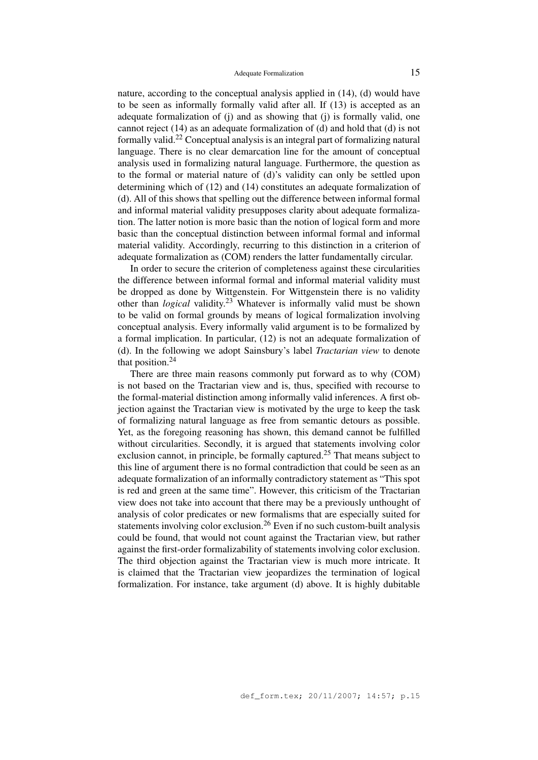nature, according to the conceptual analysis applied in (14), (d) would have to be seen as informally formally valid after all. If (13) is accepted as an adequate formalization of (j) and as showing that (j) is formally valid, one cannot reject (14) as an adequate formalization of (d) and hold that (d) is not formally valid.<sup>22</sup> Conceptual analysis is an integral part of formalizing natural language. There is no clear demarcation line for the amount of conceptual analysis used in formalizing natural language. Furthermore, the question as to the formal or material nature of (d)'s validity can only be settled upon determining which of (12) and (14) constitutes an adequate formalization of (d). All of this shows that spelling out the difference between informal formal and informal material validity presupposes clarity about adequate formalization. The latter notion is more basic than the notion of logical form and more basic than the conceptual distinction between informal formal and informal material validity. Accordingly, recurring to this distinction in a criterion of adequate formalization as (COM) renders the latter fundamentally circular.

In order to secure the criterion of completeness against these circularities the difference between informal formal and informal material validity must be dropped as done by Wittgenstein. For Wittgenstein there is no validity other than *logical* validity.<sup>23</sup> Whatever is informally valid must be shown to be valid on formal grounds by means of logical formalization involving conceptual analysis. Every informally valid argument is to be formalized by a formal implication. In particular, (12) is not an adequate formalization of (d). In the following we adopt Sainsbury's label *Tractarian view* to denote that position. $^{24}$ 

There are three main reasons commonly put forward as to why (COM) is not based on the Tractarian view and is, thus, specified with recourse to the formal-material distinction among informally valid inferences. A first objection against the Tractarian view is motivated by the urge to keep the task of formalizing natural language as free from semantic detours as possible. Yet, as the foregoing reasoning has shown, this demand cannot be fulfilled without circularities. Secondly, it is argued that statements involving color exclusion cannot, in principle, be formally captured.<sup>25</sup> That means subject to this line of argument there is no formal contradiction that could be seen as an adequate formalization of an informally contradictory statement as "This spot is red and green at the same time". However, this criticism of the Tractarian view does not take into account that there may be a previously unthought of analysis of color predicates or new formalisms that are especially suited for statements involving color exclusion.<sup>26</sup> Even if no such custom-built analysis could be found, that would not count against the Tractarian view, but rather against the first-order formalizability of statements involving color exclusion. The third objection against the Tractarian view is much more intricate. It is claimed that the Tractarian view jeopardizes the termination of logical formalization. For instance, take argument (d) above. It is highly dubitable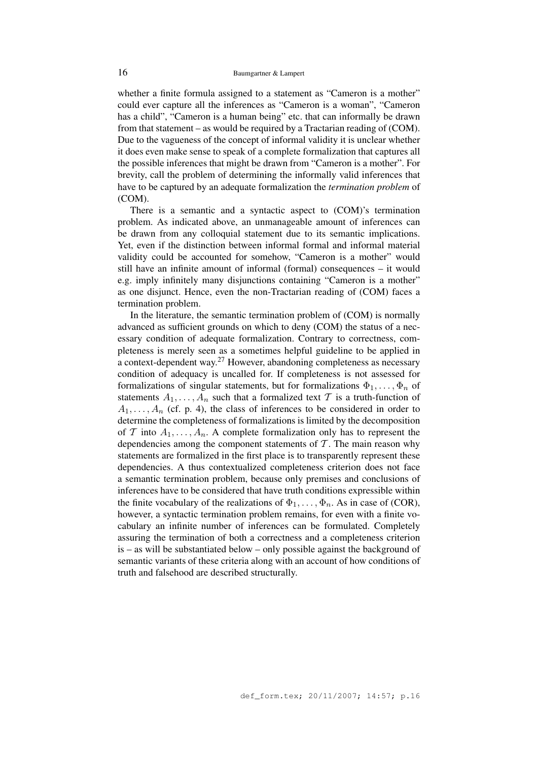whether a finite formula assigned to a statement as "Cameron is a mother" could ever capture all the inferences as "Cameron is a woman", "Cameron has a child", "Cameron is a human being" etc. that can informally be drawn from that statement – as would be required by a Tractarian reading of (COM). Due to the vagueness of the concept of informal validity it is unclear whether it does even make sense to speak of a complete formalization that captures all the possible inferences that might be drawn from "Cameron is a mother". For brevity, call the problem of determining the informally valid inferences that have to be captured by an adequate formalization the *termination problem* of (COM).

There is a semantic and a syntactic aspect to (COM)'s termination problem. As indicated above, an unmanageable amount of inferences can be drawn from any colloquial statement due to its semantic implications. Yet, even if the distinction between informal formal and informal material validity could be accounted for somehow, "Cameron is a mother" would still have an infinite amount of informal (formal) consequences – it would e.g. imply infinitely many disjunctions containing "Cameron is a mother" as one disjunct. Hence, even the non-Tractarian reading of (COM) faces a termination problem.

In the literature, the semantic termination problem of (COM) is normally advanced as sufficient grounds on which to deny (COM) the status of a necessary condition of adequate formalization. Contrary to correctness, completeness is merely seen as a sometimes helpful guideline to be applied in a context-dependent way.<sup>27</sup> However, abandoning completeness as necessary condition of adequacy is uncalled for. If completeness is not assessed for formalizations of singular statements, but for formalizations  $\Phi_1, \ldots, \Phi_n$  of statements  $A_1, \ldots, A_n$  such that a formalized text T is a truth-function of  $A_1, \ldots, A_n$  (cf. p. 4), the class of inferences to be considered in order to determine the completeness of formalizations is limited by the decomposition of T into  $A_1, \ldots, A_n$ . A complete formalization only has to represent the dependencies among the component statements of  $\mathcal T$ . The main reason why statements are formalized in the first place is to transparently represent these dependencies. A thus contextualized completeness criterion does not face a semantic termination problem, because only premises and conclusions of inferences have to be considered that have truth conditions expressible within the finite vocabulary of the realizations of  $\Phi_1, \ldots, \Phi_n$ . As in case of (COR), however, a syntactic termination problem remains, for even with a finite vocabulary an infinite number of inferences can be formulated. Completely assuring the termination of both a correctness and a completeness criterion is – as will be substantiated below – only possible against the background of semantic variants of these criteria along with an account of how conditions of truth and falsehood are described structurally.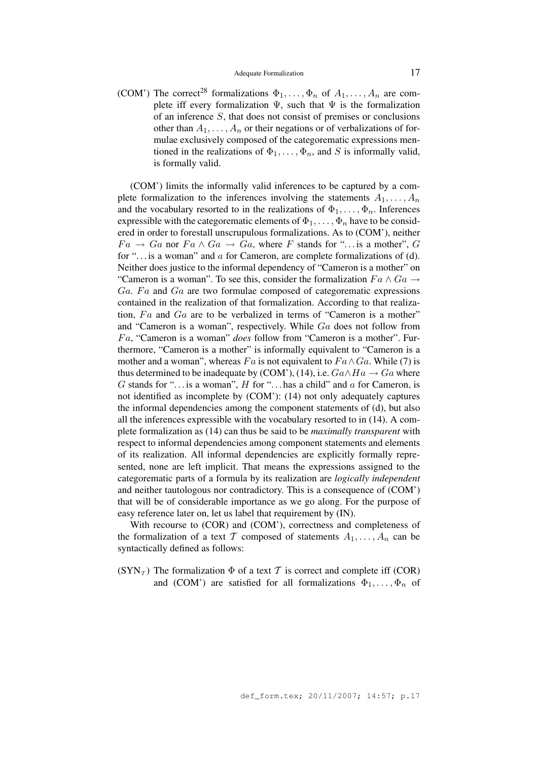(COM') The correct<sup>28</sup> formalizations  $\Phi_1, \ldots, \Phi_n$  of  $A_1, \ldots, A_n$  are complete iff every formalization  $\Psi$ , such that  $\Psi$  is the formalization of an inference S, that does not consist of premises or conclusions other than  $A_1, \ldots, A_n$  or their negations or of verbalizations of formulae exclusively composed of the categorematic expressions mentioned in the realizations of  $\Phi_1, \ldots, \Phi_n$ , and S is informally valid, is formally valid.

(COM') limits the informally valid inferences to be captured by a complete formalization to the inferences involving the statements  $A_1, \ldots, A_n$ and the vocabulary resorted to in the realizations of  $\Phi_1, \ldots, \Phi_n$ . Inferences expressible with the categorematic elements of  $\Phi_1, \ldots, \Phi_n$  have to be considered in order to forestall unscrupulous formalizations. As to (COM'), neither  $Fa \rightarrow Ga$  nor  $Fa \wedge Ga \rightarrow Ga$ , where F stands for "... is a mother", G for " $\dots$  is a woman" and a for Cameron, are complete formalizations of (d). Neither does justice to the informal dependency of "Cameron is a mother" on "Cameron is a woman". To see this, consider the formalization  $Fa \wedge Ga \rightarrow$  $Ga. Fa$  and  $Ga$  are two formulae composed of categorematic expressions contained in the realization of that formalization. According to that realization,  $Fa$  and  $Ga$  are to be verbalized in terms of "Cameron is a mother" and "Cameron is a woman", respectively. While Ga does not follow from Fa, "Cameron is a woman" *does* follow from "Cameron is a mother". Furthermore, "Cameron is a mother" is informally equivalent to "Cameron is a mother and a woman", whereas Fa is not equivalent to  $Fa \wedge Ga$ . While (7) is thus determined to be inadequate by (COM'), (14), i.e.  $Ga \wedge Ha \rightarrow Ga$  where G stands for " $\dots$  is a woman", H for " $\dots$  has a child" and a for Cameron, is not identified as incomplete by (COM'): (14) not only adequately captures the informal dependencies among the component statements of (d), but also all the inferences expressible with the vocabulary resorted to in (14). A complete formalization as (14) can thus be said to be *maximally transparent* with respect to informal dependencies among component statements and elements of its realization. All informal dependencies are explicitly formally represented, none are left implicit. That means the expressions assigned to the categorematic parts of a formula by its realization are *logically independent* and neither tautologous nor contradictory. This is a consequence of (COM') that will be of considerable importance as we go along. For the purpose of easy reference later on, let us label that requirement by (IN).

With recourse to (COR) and (COM'), correctness and completeness of the formalization of a text T composed of statements  $A_1, \ldots, A_n$  can be syntactically defined as follows:

(SYN<sub>T</sub>) The formalization  $\Phi$  of a text T is correct and complete iff (COR) and (COM') are satisfied for all formalizations  $\Phi_1, \ldots, \Phi_n$  of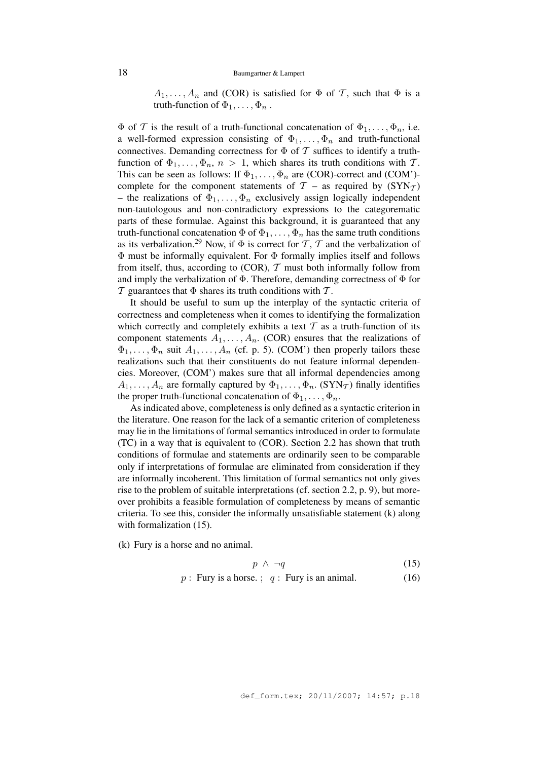$A_1, \ldots, A_n$  and (COR) is satisfied for  $\Phi$  of T, such that  $\Phi$  is a truth-function of  $\Phi_1, \ldots, \Phi_n$ .

 $\Phi$  of T is the result of a truth-functional concatenation of  $\Phi_1, \ldots, \Phi_n$ , i.e. a well-formed expression consisting of  $\Phi_1, \ldots, \Phi_n$  and truth-functional connectives. Demanding correctness for  $\Phi$  of  $\mathcal T$  suffices to identify a truthfunction of  $\Phi_1, \ldots, \Phi_n, n > 1$ , which shares its truth conditions with T. This can be seen as follows: If  $\Phi_1, \ldots, \Phi_n$  are (COR)-correct and (COM')complete for the component statements of  $T$  – as required by  $(SYN_T)$ – the realizations of  $\Phi_1, \ldots, \Phi_n$  exclusively assign logically independent non-tautologous and non-contradictory expressions to the categorematic parts of these formulae. Against this background, it is guaranteed that any truth-functional concatenation  $\Phi$  of  $\Phi_1, \ldots, \Phi_n$  has the same truth conditions as its verbalization.<sup>29</sup> Now, if  $\Phi$  is correct for T, T and the verbalization of  $\Phi$  must be informally equivalent. For  $\Phi$  formally implies itself and follows from itself, thus, according to (COR),  $T$  must both informally follow from and imply the verbalization of  $\Phi$ . Therefore, demanding correctness of  $\Phi$  for T guarantees that  $\Phi$  shares its truth conditions with T.

It should be useful to sum up the interplay of the syntactic criteria of correctness and completeness when it comes to identifying the formalization which correctly and completely exhibits a text  $T$  as a truth-function of its component statements  $A_1, \ldots, A_n$ . (COR) ensures that the realizations of  $\Phi_1, \ldots, \Phi_n$  suit  $A_1, \ldots, A_n$  (cf. p. 5). (COM') then properly tailors these realizations such that their constituents do not feature informal dependencies. Moreover, (COM') makes sure that all informal dependencies among  $A_1, \ldots, A_n$  are formally captured by  $\Phi_1, \ldots, \Phi_n$ . (SYN<sub>T</sub>) finally identifies the proper truth-functional concatenation of  $\Phi_1, \ldots, \Phi_n$ .

As indicated above, completeness is only defined as a syntactic criterion in the literature. One reason for the lack of a semantic criterion of completeness may lie in the limitations of formal semantics introduced in order to formulate (TC) in a way that is equivalent to (COR). Section 2.2 has shown that truth conditions of formulae and statements are ordinarily seen to be comparable only if interpretations of formulae are eliminated from consideration if they are informally incoherent. This limitation of formal semantics not only gives rise to the problem of suitable interpretations (cf. section 2.2, p. 9), but moreover prohibits a feasible formulation of completeness by means of semantic criteria. To see this, consider the informally unsatisfiable statement (k) along with formalization (15).

(k) Fury is a horse and no animal.

$$
p \wedge \neg q \tag{15}
$$

$$
p: \text{Fury is a horse.}; \quad q: \text{Fury is an animal.} \tag{16}
$$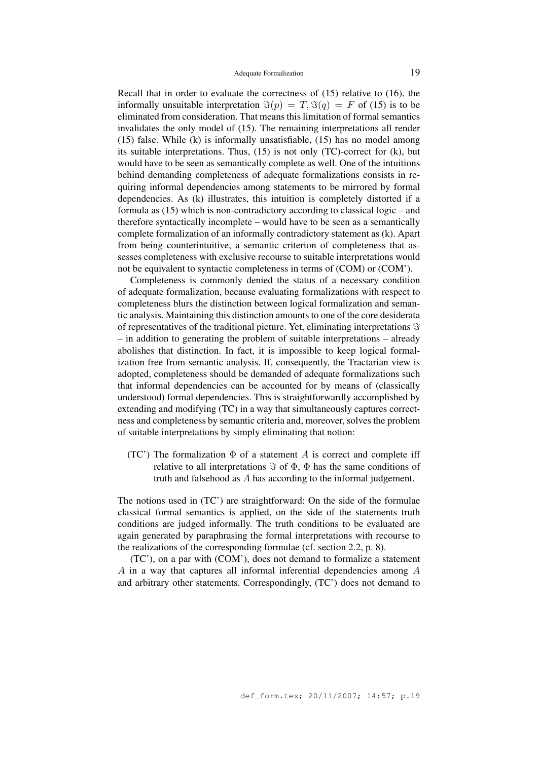Recall that in order to evaluate the correctness of (15) relative to (16), the informally unsuitable interpretation  $\Im(p) = T$ ,  $\Im(q) = F$  of (15) is to be eliminated from consideration. That means this limitation of formal semantics invalidates the only model of (15). The remaining interpretations all render (15) false. While (k) is informally unsatisfiable, (15) has no model among its suitable interpretations. Thus, (15) is not only (TC)-correct for (k), but would have to be seen as semantically complete as well. One of the intuitions behind demanding completeness of adequate formalizations consists in requiring informal dependencies among statements to be mirrored by formal dependencies. As (k) illustrates, this intuition is completely distorted if a formula as (15) which is non-contradictory according to classical logic – and therefore syntactically incomplete – would have to be seen as a semantically complete formalization of an informally contradictory statement as (k). Apart from being counterintuitive, a semantic criterion of completeness that assesses completeness with exclusive recourse to suitable interpretations would not be equivalent to syntactic completeness in terms of (COM) or (COM').

Completeness is commonly denied the status of a necessary condition of adequate formalization, because evaluating formalizations with respect to completeness blurs the distinction between logical formalization and semantic analysis. Maintaining this distinction amounts to one of the core desiderata of representatives of the traditional picture. Yet, eliminating interpretations  $\Im$ – in addition to generating the problem of suitable interpretations – already abolishes that distinction. In fact, it is impossible to keep logical formalization free from semantic analysis. If, consequently, the Tractarian view is adopted, completeness should be demanded of adequate formalizations such that informal dependencies can be accounted for by means of (classically understood) formal dependencies. This is straightforwardly accomplished by extending and modifying (TC) in a way that simultaneously captures correctness and completeness by semantic criteria and, moreover, solves the problem of suitable interpretations by simply eliminating that notion:

(TC') The formalization  $\Phi$  of a statement A is correct and complete iff relative to all interpretations  $\Im$  of  $\Phi$ ,  $\Phi$  has the same conditions of truth and falsehood as A has according to the informal judgement.

The notions used in (TC') are straightforward: On the side of the formulae classical formal semantics is applied, on the side of the statements truth conditions are judged informally. The truth conditions to be evaluated are again generated by paraphrasing the formal interpretations with recourse to the realizations of the corresponding formulae (cf. section 2.2, p. 8).

(TC'), on a par with (COM'), does not demand to formalize a statement  $\overline{A}$  in a way that captures all informal inferential dependencies among  $\overline{A}$ and arbitrary other statements. Correspondingly, (TC') does not demand to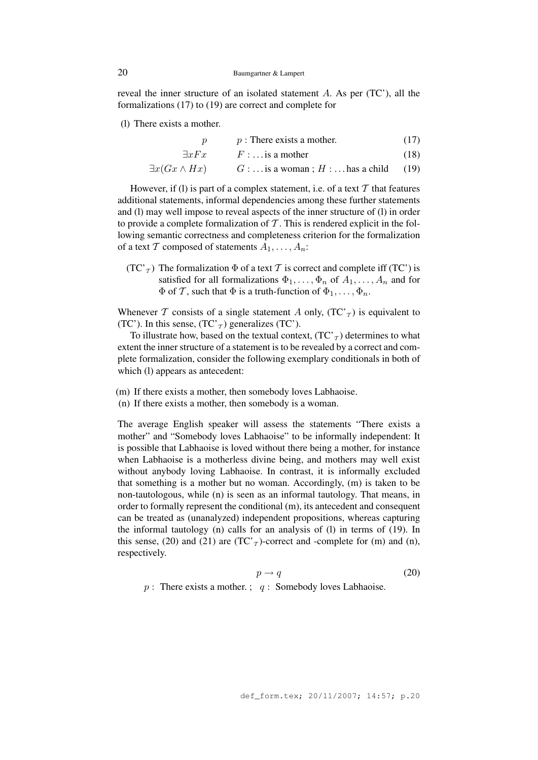reveal the inner structure of an isolated statement A. As per (TC'), all the formalizations (17) to (19) are correct and complete for

(l) There exists a mother.

| $p:$ There exists a mother. |  |  |  |  |  |
|-----------------------------|--|--|--|--|--|
|-----------------------------|--|--|--|--|--|

$$
\exists x Fx \qquad F: \dots \text{is a mother} \tag{18}
$$

$$
\exists x (Gx \wedge Hx) \qquad G: \dots \text{ is a woman }; H: \dots \text{ has a child} \qquad (19)
$$

However, if (1) is part of a complex statement, i.e. of a text  $T$  that features additional statements, informal dependencies among these further statements and (l) may well impose to reveal aspects of the inner structure of (l) in order to provide a complete formalization of  $T$ . This is rendered explicit in the following semantic correctness and completeness criterion for the formalization of a text T composed of statements  $A_1, \ldots, A_n$ :

 $(TC_{\tau})$  The formalization  $\Phi$  of a text T is correct and complete iff (TC') is satisfied for all formalizations  $\Phi_1, \ldots, \Phi_n$  of  $A_1, \ldots, A_n$  and for  $\Phi$  of T, such that  $\Phi$  is a truth-function of  $\Phi_1, \ldots, \Phi_n$ .

Whenever T consists of a single statement A only,  $(TC_{\tau})$  is equivalent to (TC'). In this sense, (TC' $_7$ ) generalizes (TC').

To illustrate how, based on the textual context,  $(TC_{\tau})$  determines to what extent the inner structure of a statement is to be revealed by a correct and complete formalization, consider the following exemplary conditionals in both of which (1) appears as antecedent:

(m) If there exists a mother, then somebody loves Labhaoise.

(n) If there exists a mother, then somebody is a woman.

The average English speaker will assess the statements "There exists a mother" and "Somebody loves Labhaoise" to be informally independent: It is possible that Labhaoise is loved without there being a mother, for instance when Labhaoise is a motherless divine being, and mothers may well exist without anybody loving Labhaoise. In contrast, it is informally excluded that something is a mother but no woman. Accordingly, (m) is taken to be non-tautologous, while (n) is seen as an informal tautology. That means, in order to formally represent the conditional (m), its antecedent and consequent can be treated as (unanalyzed) independent propositions, whereas capturing the informal tautology (n) calls for an analysis of (l) in terms of (19). In this sense, (20) and (21) are  $(TC_{\tau})$ -correct and -complete for (m) and (n), respectively.

$$
p \to q \tag{20}
$$

 $p$ : There exists a mother. ; q : Somebody loves Labhaoise.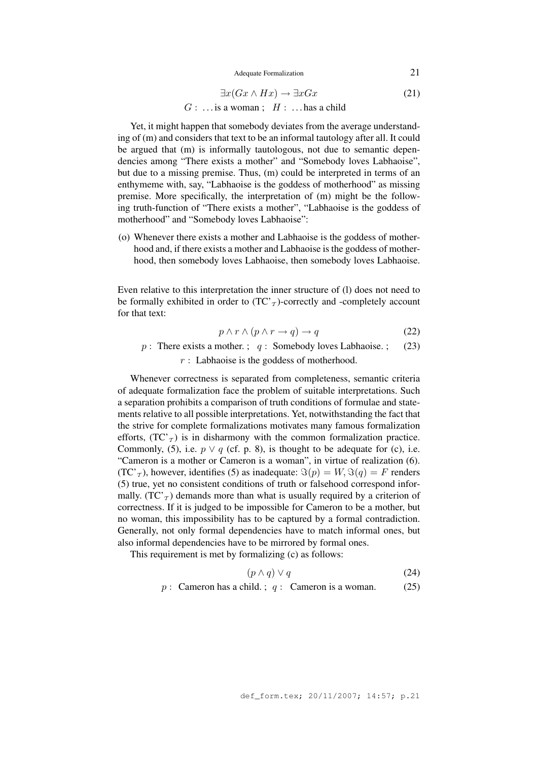Adequate Formalization 21

$$
\exists x (Gx \land Hx) \to \exists x Gx \tag{21}
$$
  
 $G: \dots$  is a woman ;  $H: \dots$  has a child

Yet, it might happen that somebody deviates from the average understanding of (m) and considers that text to be an informal tautology after all. It could be argued that (m) is informally tautologous, not due to semantic dependencies among "There exists a mother" and "Somebody loves Labhaoise", but due to a missing premise. Thus, (m) could be interpreted in terms of an enthymeme with, say, "Labhaoise is the goddess of motherhood" as missing premise. More specifically, the interpretation of (m) might be the following truth-function of "There exists a mother", "Labhaoise is the goddess of motherhood" and "Somebody loves Labhaoise":

(o) Whenever there exists a mother and Labhaoise is the goddess of motherhood and, if there exists a mother and Labhaoise is the goddess of motherhood, then somebody loves Labhaoise, then somebody loves Labhaoise.

Even relative to this interpretation the inner structure of (l) does not need to be formally exhibited in order to  $(TC_{\tau})$ -correctly and -completely account for that text:

$$
p \wedge r \wedge (p \wedge r \to q) \to q \tag{22}
$$

 $p$ : There exists a mother. ; q : Somebody loves Labhaoise. ; (23)  $r$  : Labhaoise is the goddess of motherhood.

Whenever correctness is separated from completeness, semantic criteria of adequate formalization face the problem of suitable interpretations. Such a separation prohibits a comparison of truth conditions of formulae and statements relative to all possible interpretations. Yet, notwithstanding the fact that the strive for complete formalizations motivates many famous formalization efforts,  $(TC_{\tau})$  is in disharmony with the common formalization practice. Commonly, (5), i.e.  $p \vee q$  (cf. p. 8), is thought to be adequate for (c), i.e. "Cameron is a mother or Cameron is a woman", in virtue of realization (6).  $(TC_{\tau})$ , however, identifies (5) as inadequate:  $\Im(p) = W$ ,  $\Im(q) = F$  renders (5) true, yet no consistent conditions of truth or falsehood correspond informally. (TC' $\tau$ ) demands more than what is usually required by a criterion of correctness. If it is judged to be impossible for Cameron to be a mother, but no woman, this impossibility has to be captured by a formal contradiction. Generally, not only formal dependencies have to match informal ones, but also informal dependencies have to be mirrored by formal ones.

This requirement is met by formalizing (c) as follows:

$$
(p \land q) \lor q \tag{24}
$$

$$
p: \text{ Cameron has a child.}; q: \text{ Cameron is a woman.} \tag{25}
$$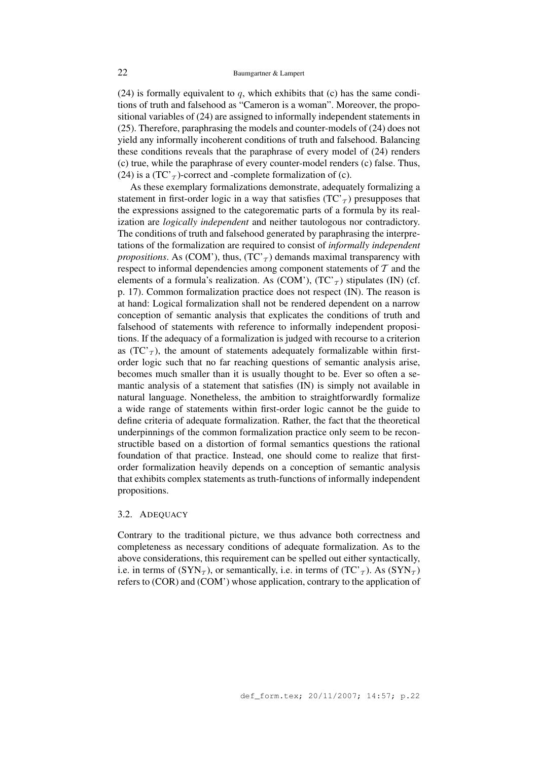(24) is formally equivalent to  $q$ , which exhibits that (c) has the same conditions of truth and falsehood as "Cameron is a woman". Moreover, the propositional variables of (24) are assigned to informally independent statements in (25). Therefore, paraphrasing the models and counter-models of (24) does not yield any informally incoherent conditions of truth and falsehood. Balancing these conditions reveals that the paraphrase of every model of (24) renders (c) true, while the paraphrase of every counter-model renders (c) false. Thus, (24) is a (TC'<sub> $\tau$ </sub>)-correct and -complete formalization of (c).

As these exemplary formalizations demonstrate, adequately formalizing a statement in first-order logic in a way that satisfies  $(TC_{\tau})$  presupposes that the expressions assigned to the categorematic parts of a formula by its realization are *logically independent* and neither tautologous nor contradictory. The conditions of truth and falsehood generated by paraphrasing the interpretations of the formalization are required to consist of *informally independent propositions*. As (COM'), thus,  $(TC_{\tau})$  demands maximal transparency with respect to informal dependencies among component statements of  $T$  and the elements of a formula's realization. As  $(COM^{\prime})$ ,  $(TC^{\prime}_{\tau})$  stipulates (IN) (cf. p. 17). Common formalization practice does not respect (IN). The reason is at hand: Logical formalization shall not be rendered dependent on a narrow conception of semantic analysis that explicates the conditions of truth and falsehood of statements with reference to informally independent propositions. If the adequacy of a formalization is judged with recourse to a criterion as (TC'<sub>T</sub>), the amount of statements adequately formalizable within firstorder logic such that no far reaching questions of semantic analysis arise, becomes much smaller than it is usually thought to be. Ever so often a semantic analysis of a statement that satisfies (IN) is simply not available in natural language. Nonetheless, the ambition to straightforwardly formalize a wide range of statements within first-order logic cannot be the guide to define criteria of adequate formalization. Rather, the fact that the theoretical underpinnings of the common formalization practice only seem to be reconstructible based on a distortion of formal semantics questions the rational foundation of that practice. Instead, one should come to realize that firstorder formalization heavily depends on a conception of semantic analysis that exhibits complex statements as truth-functions of informally independent propositions.

#### 3.2. ADEQUACY

Contrary to the traditional picture, we thus advance both correctness and completeness as necessary conditions of adequate formalization. As to the above considerations, this requirement can be spelled out either syntactically, i.e. in terms of (SYN<sub>T</sub>), or semantically, i.e. in terms of (TC'<sub>T</sub>). As (SYN<sub>T</sub>) refers to (COR) and (COM') whose application, contrary to the application of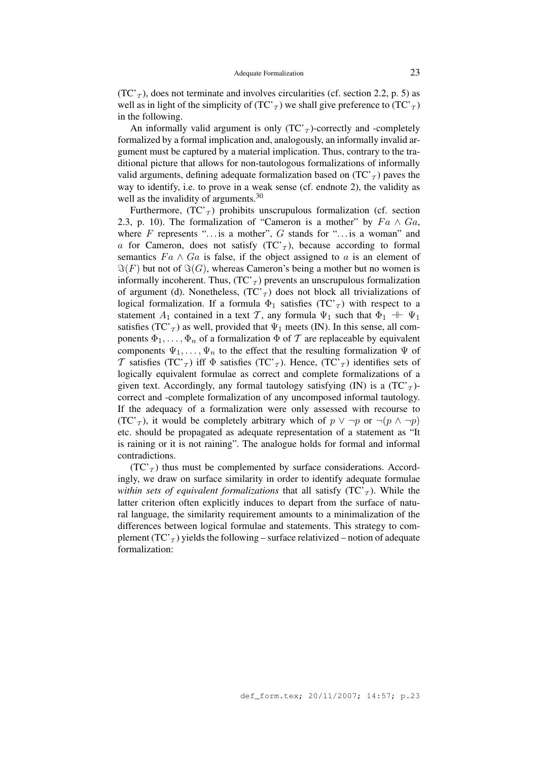$(TC<sub>T</sub>)$ , does not terminate and involves circularities (cf. section 2.2, p. 5) as well as in light of the simplicity of  $(TC_{\tau})$  we shall give preference to  $(TC_{\tau})$ in the following.

An informally valid argument is only  $(TC_{\tau})$ -correctly and -completely formalized by a formal implication and, analogously, an informally invalid argument must be captured by a material implication. Thus, contrary to the traditional picture that allows for non-tautologous formalizations of informally valid arguments, defining adequate formalization based on  $(TC_{\tau})$  paves the way to identify, i.e. to prove in a weak sense (cf. endnote 2), the validity as well as the invalidity of arguments.<sup>30</sup>

Furthermore,  $(TC_{\tau})$  prohibits unscrupulous formalization (cf. section 2.3, p. 10). The formalization of "Cameron is a mother" by  $Fa \wedge Ga$ , where  $F$  represents "... is a mother",  $G$  stands for "... is a woman" and a for Cameron, does not satisfy  $(TC_{\tau})$ , because according to formal semantics  $Fa \wedge Ga$  is false, if the object assigned to a is an element of  $\Im(F)$  but not of  $\Im(G)$ , whereas Cameron's being a mother but no women is informally incoherent. Thus,  $(TC_{\tau})$  prevents an unscrupulous formalization of argument (d). Nonetheless,  $(TC_{\tau})$  does not block all trivializations of logical formalization. If a formula  $\Phi_1$  satisfies (TC'<sub>T</sub>) with respect to a statement  $A_1$  contained in a text T, any formula  $\Psi_1$  such that  $\Phi_1 + \Psi_1$ satisfies (TC'<sub>T</sub>) as well, provided that  $\Psi_1$  meets (IN). In this sense, all components  $\Phi_1, \ldots, \Phi_n$  of a formalization  $\Phi$  of  $\mathcal T$  are replaceable by equivalent components  $\Psi_1, \ldots, \Psi_n$  to the effect that the resulting formalization  $\Psi$  of T satisfies (TC'<sub>T</sub>) iff  $\Phi$  satisfies (TC'<sub>T</sub>). Hence, (TC'<sub>T</sub>) identifies sets of logically equivalent formulae as correct and complete formalizations of a given text. Accordingly, any formal tautology satisfying (IN) is a  $(TC_{\tau})$ correct and -complete formalization of any uncomposed informal tautology. If the adequacy of a formalization were only assessed with recourse to (TC'<sub>T</sub>), it would be completely arbitrary which of  $p \vee \neg p$  or  $\neg (p \wedge \neg p)$ etc. should be propagated as adequate representation of a statement as "It is raining or it is not raining". The analogue holds for formal and informal contradictions.

 $(TC<sub>T</sub>)$  thus must be complemented by surface considerations. Accordingly, we draw on surface similarity in order to identify adequate formulae *within sets of equivalent formalizations* that all satisfy  $(TC_{\tau})$ . While the latter criterion often explicitly induces to depart from the surface of natural language, the similarity requirement amounts to a minimalization of the differences between logical formulae and statements. This strategy to complement (TC'<sub>T</sub>) yields the following – surface relativized – notion of adequate formalization: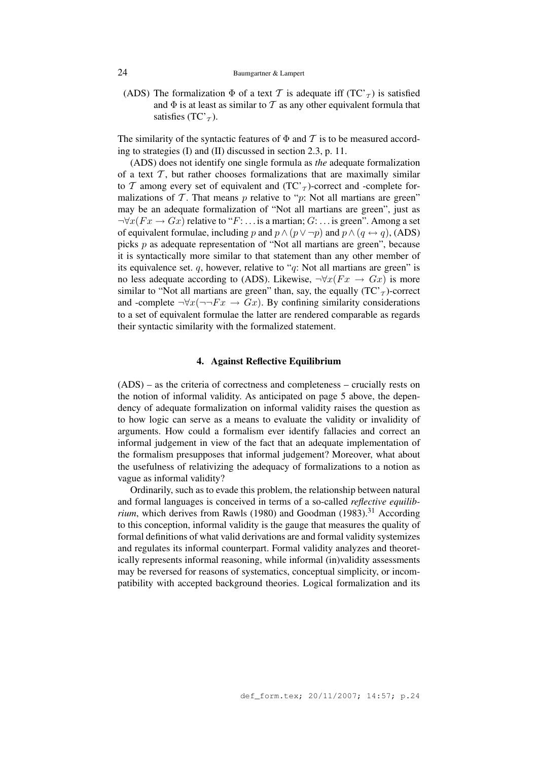(ADS) The formalization  $\Phi$  of a text T is adequate iff (TC'<sub>T</sub>) is satisfied and  $\Phi$  is at least as similar to  $\mathcal T$  as any other equivalent formula that satisfies (TC' $_{\tau}$ ).

The similarity of the syntactic features of  $\Phi$  and  $\mathcal T$  is to be measured according to strategies (I) and (II) discussed in section 2.3, p. 11.

(ADS) does not identify one single formula as *the* adequate formalization of a text  $T$ , but rather chooses formalizations that are maximally similar to T among every set of equivalent and  $(TC<sub>T</sub>)$ -correct and -complete formalizations of  $T$ . That means  $p$  relative to " $p$ : Not all martians are green" may be an adequate formalization of "Not all martians are green", just as  $\neg \forall x (Fx \rightarrow Gx)$  relative to "F:... is a martian; G:... is green". Among a set of equivalent formulae, including p and  $p \wedge (p \vee \neg p)$  and  $p \wedge (q \leftrightarrow q)$ , (ADS) picks p as adequate representation of "Not all martians are green", because it is syntactically more similar to that statement than any other member of its equivalence set. q, however, relative to "q: Not all martians are green" is no less adequate according to (ADS). Likewise,  $\neg \forall x (Fx \rightarrow Gx)$  is more similar to "Not all martians are green" than, say, the equally  $(TC_{\tau})$ -correct and -complete  $\neg \forall x (\neg \neg F x \rightarrow Gx)$ . By confining similarity considerations to a set of equivalent formulae the latter are rendered comparable as regards their syntactic similarity with the formalized statement.

## 4. Against Reflective Equilibrium

(ADS) – as the criteria of correctness and completeness – crucially rests on the notion of informal validity. As anticipated on page 5 above, the dependency of adequate formalization on informal validity raises the question as to how logic can serve as a means to evaluate the validity or invalidity of arguments. How could a formalism ever identify fallacies and correct an informal judgement in view of the fact that an adequate implementation of the formalism presupposes that informal judgement? Moreover, what about the usefulness of relativizing the adequacy of formalizations to a notion as vague as informal validity?

Ordinarily, such as to evade this problem, the relationship between natural and formal languages is conceived in terms of a so-called *reflective equilibrium*, which derives from Rawls (1980) and Goodman (1983).<sup>31</sup> According to this conception, informal validity is the gauge that measures the quality of formal definitions of what valid derivations are and formal validity systemizes and regulates its informal counterpart. Formal validity analyzes and theoretically represents informal reasoning, while informal (in)validity assessments may be reversed for reasons of systematics, conceptual simplicity, or incompatibility with accepted background theories. Logical formalization and its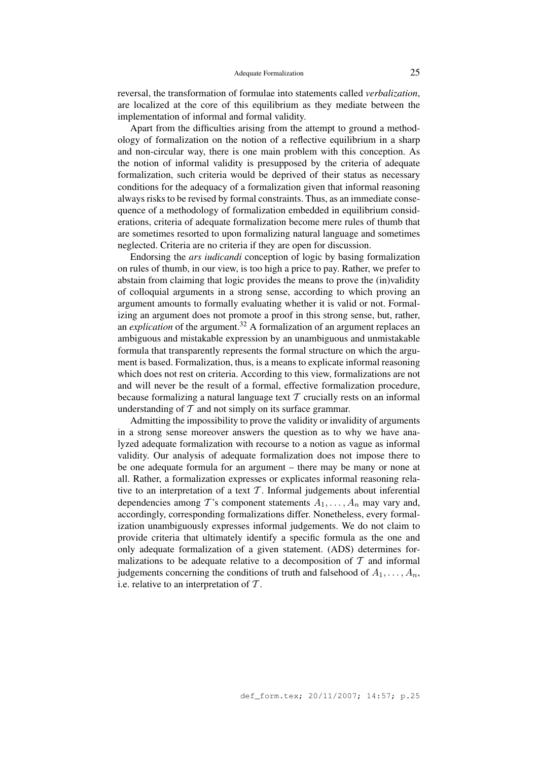reversal, the transformation of formulae into statements called *verbalization*, are localized at the core of this equilibrium as they mediate between the implementation of informal and formal validity.

Apart from the difficulties arising from the attempt to ground a methodology of formalization on the notion of a reflective equilibrium in a sharp and non-circular way, there is one main problem with this conception. As the notion of informal validity is presupposed by the criteria of adequate formalization, such criteria would be deprived of their status as necessary conditions for the adequacy of a formalization given that informal reasoning always risks to be revised by formal constraints. Thus, as an immediate consequence of a methodology of formalization embedded in equilibrium considerations, criteria of adequate formalization become mere rules of thumb that are sometimes resorted to upon formalizing natural language and sometimes neglected. Criteria are no criteria if they are open for discussion.

Endorsing the *ars iudicandi* conception of logic by basing formalization on rules of thumb, in our view, is too high a price to pay. Rather, we prefer to abstain from claiming that logic provides the means to prove the (in)validity of colloquial arguments in a strong sense, according to which proving an argument amounts to formally evaluating whether it is valid or not. Formalizing an argument does not promote a proof in this strong sense, but, rather, an *explication* of the argument.<sup>32</sup> A formalization of an argument replaces an ambiguous and mistakable expression by an unambiguous and unmistakable formula that transparently represents the formal structure on which the argument is based. Formalization, thus, is a means to explicate informal reasoning which does not rest on criteria. According to this view, formalizations are not and will never be the result of a formal, effective formalization procedure, because formalizing a natural language text  $T$  crucially rests on an informal understanding of  $T$  and not simply on its surface grammar.

Admitting the impossibility to prove the validity or invalidity of arguments in a strong sense moreover answers the question as to why we have analyzed adequate formalization with recourse to a notion as vague as informal validity. Our analysis of adequate formalization does not impose there to be one adequate formula for an argument – there may be many or none at all. Rather, a formalization expresses or explicates informal reasoning relative to an interpretation of a text  $\mathcal T$ . Informal judgements about inferential dependencies among T's component statements  $A_1, \ldots, A_n$  may vary and, accordingly, corresponding formalizations differ. Nonetheless, every formalization unambiguously expresses informal judgements. We do not claim to provide criteria that ultimately identify a specific formula as the one and only adequate formalization of a given statement. (ADS) determines formalizations to be adequate relative to a decomposition of  $\mathcal T$  and informal judgements concerning the conditions of truth and falsehood of  $A_1, \ldots, A_n$ , i.e. relative to an interpretation of T .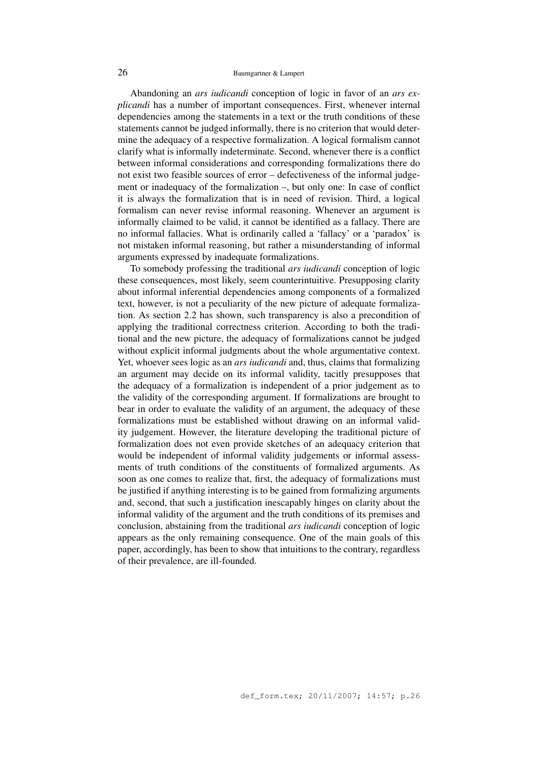Abandoning an *ars iudicandi* conception of logic in favor of an *ars explicandi* has a number of important consequences. First, whenever internal dependencies among the statements in a text or the truth conditions of these statements cannot be judged informally, there is no criterion that would determine the adequacy of a respective formalization. A logical formalism cannot clarify what is informally indeterminate. Second, whenever there is a conflict between informal considerations and corresponding formalizations there do not exist two feasible sources of error – defectiveness of the informal judgement or inadequacy of the formalization –, but only one: In case of conflict it is always the formalization that is in need of revision. Third, a logical formalism can never revise informal reasoning. Whenever an argument is informally claimed to be valid, it cannot be identified as a fallacy. There are no informal fallacies. What is ordinarily called a 'fallacy' or a 'paradox' is not mistaken informal reasoning, but rather a misunderstanding of informal arguments expressed by inadequate formalizations.

To somebody professing the traditional *ars iudicandi* conception of logic these consequences, most likely, seem counterintuitive. Presupposing clarity about informal inferential dependencies among components of a formalized text, however, is not a peculiarity of the new picture of adequate formalization. As section 2.2 has shown, such transparency is also a precondition of applying the traditional correctness criterion. According to both the traditional and the new picture, the adequacy of formalizations cannot be judged without explicit informal judgments about the whole argumentative context. Yet, whoever sees logic as an *ars iudicandi* and, thus, claims that formalizing an argument may decide on its informal validity, tacitly presupposes that the adequacy of a formalization is independent of a prior judgement as to the validity of the corresponding argument. If formalizations are brought to bear in order to evaluate the validity of an argument, the adequacy of these formalizations must be established without drawing on an informal validity judgement. However, the literature developing the traditional picture of formalization does not even provide sketches of an adequacy criterion that would be independent of informal validity judgements or informal assessments of truth conditions of the constituents of formalized arguments. As soon as one comes to realize that, first, the adequacy of formalizations must be justified if anything interesting is to be gained from formalizing arguments and, second, that such a justification inescapably hinges on clarity about the informal validity of the argument and the truth conditions of its premises and conclusion, abstaining from the traditional *ars iudicandi* conception of logic appears as the only remaining consequence. One of the main goals of this paper, accordingly, has been to show that intuitions to the contrary, regardless of their prevalence, are ill-founded.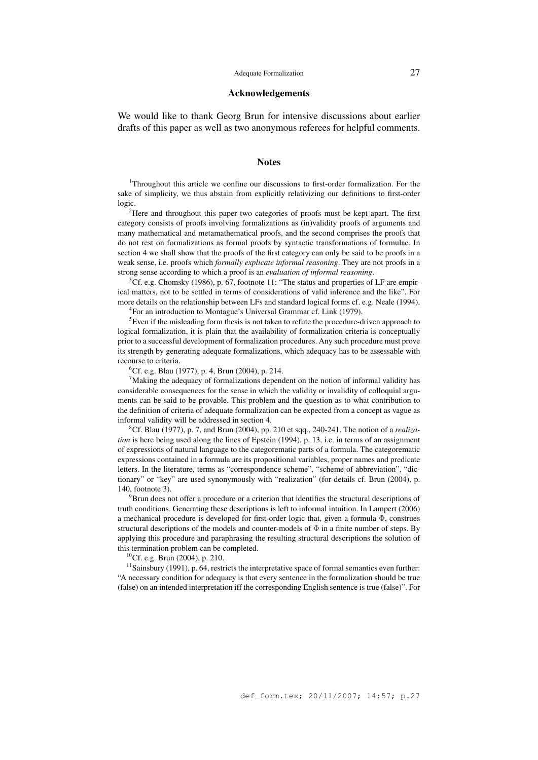### Acknowledgements

We would like to thank Georg Brun for intensive discussions about earlier drafts of this paper as well as two anonymous referees for helpful comments.

### **Notes**

<sup>1</sup>Throughout this article we confine our discussions to first-order formalization. For the sake of simplicity, we thus abstain from explicitly relativizing our definitions to first-order logic.

 $2$ Here and throughout this paper two categories of proofs must be kept apart. The first category consists of proofs involving formalizations as (in)validity proofs of arguments and many mathematical and metamathematical proofs, and the second comprises the proofs that do not rest on formalizations as formal proofs by syntactic transformations of formulae. In section 4 we shall show that the proofs of the first category can only be said to be proofs in a weak sense, i.e. proofs which *formally explicate informal reasoning*. They are not proofs in a strong sense according to which a proof is an *evaluation of informal reasoning*.

<sup>3</sup>Cf. e.g. Chomsky (1986), p. 67, footnote 11: "The status and properties of LF are empirical matters, not to be settled in terms of considerations of valid inference and the like". For more details on the relationship between LFs and standard logical forms cf. e.g. Neale (1994). <sup>4</sup> For an introduction to Montague's Universal Grammar cf. Link (1979).

<sup>5</sup>Even if the misleading form thesis is not taken to refute the procedure-driven approach to logical formalization, it is plain that the availability of formalization criteria is conceptually prior to a successful development of formalization procedures. Any such procedure must prove its strength by generating adequate formalizations, which adequacy has to be assessable with recourse to criteria.

 ${}^{6}$ Cf. e.g. Blau (1977), p. 4, Brun (2004), p. 214.

 $7$ Making the adequacy of formalizations dependent on the notion of informal validity has considerable consequences for the sense in which the validity or invalidity of colloquial arguments can be said to be provable. This problem and the question as to what contribution to the definition of criteria of adequate formalization can be expected from a concept as vague as informal validity will be addressed in section 4.

<sup>8</sup>Cf. Blau (1977), p. 7, and Brun (2004), pp. 210 et sqq., 240-241. The notion of a *realization* is here being used along the lines of Epstein (1994), p. 13, i.e. in terms of an assignment of expressions of natural language to the categorematic parts of a formula. The categorematic expressions contained in a formula are its propositional variables, proper names and predicate letters. In the literature, terms as "correspondence scheme", "scheme of abbreviation", "dictionary" or "key" are used synonymously with "realization" (for details cf. Brun (2004), p. 140, footnote 3).

 $9Brun$  does not offer a procedure or a criterion that identifies the structural descriptions of truth conditions. Generating these descriptions is left to informal intuition. In Lampert (2006) a mechanical procedure is developed for first-order logic that, given a formula Φ, construes structural descriptions of the models and counter-models of  $\Phi$  in a finite number of steps. By applying this procedure and paraphrasing the resulting structural descriptions the solution of this termination problem can be completed.

 ${}^{10}$ Cf. e.g. Brun (2004), p. 210.

<sup>11</sup>Sainsbury (1991), p. 64, restricts the interpretative space of formal semantics even further: "A necessary condition for adequacy is that every sentence in the formalization should be true (false) on an intended interpretation iff the corresponding English sentence is true (false)". For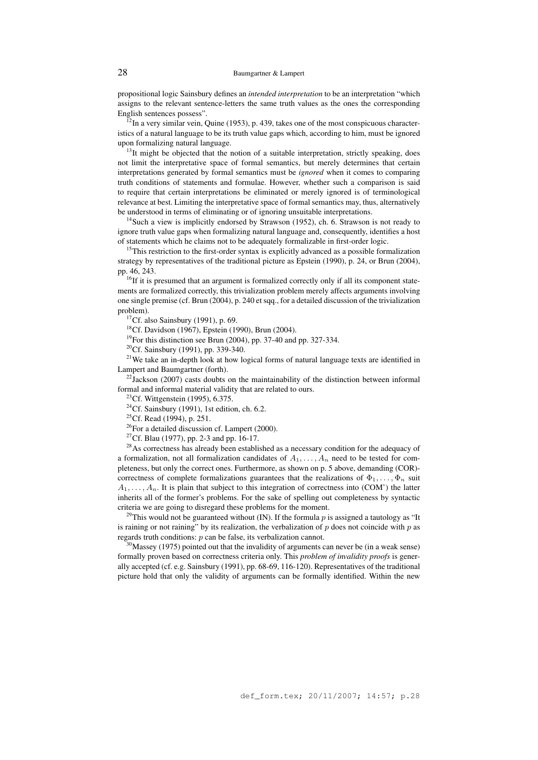propositional logic Sainsbury defines an *intended interpretation* to be an interpretation "which assigns to the relevant sentence-letters the same truth values as the ones the corresponding English sentences possess".

 $12$ In a very similar vein, Quine (1953), p. 439, takes one of the most conspicuous characteristics of a natural language to be its truth value gaps which, according to him, must be ignored upon formalizing natural language.

 $13$ It might be objected that the notion of a suitable interpretation, strictly speaking, does not limit the interpretative space of formal semantics, but merely determines that certain interpretations generated by formal semantics must be *ignored* when it comes to comparing truth conditions of statements and formulae. However, whether such a comparison is said to require that certain interpretations be eliminated or merely ignored is of terminological relevance at best. Limiting the interpretative space of formal semantics may, thus, alternatively be understood in terms of eliminating or of ignoring unsuitable interpretations.

<sup>14</sup>Such a view is implicitly endorsed by Strawson (1952), ch. 6. Strawson is not ready to ignore truth value gaps when formalizing natural language and, consequently, identifies a host of statements which he claims not to be adequately formalizable in first-order logic.

 $15$ This restriction to the first-order syntax is explicitly advanced as a possible formalization strategy by representatives of the traditional picture as Epstein (1990), p. 24, or Brun (2004), pp. 46, 243.

<sup>16</sup>If it is presumed that an argument is formalized correctly only if all its component statements are formalized correctly, this trivialization problem merely affects arguments involving one single premise (cf. Brun (2004), p. 240 et sqq., for a detailed discussion of the trivialization problem).

 ${}^{17}Cf$ . also Sainsbury (1991), p. 69.

<sup>18</sup>Cf. Davidson (1967), Epstein (1990), Brun (2004).

 $19$ For this distinction see Brun (2004), pp. 37-40 and pp. 327-334.

<sup>20</sup>Cf. Sainsbury (1991), pp. 339-340.

<sup>21</sup>We take an in-depth look at how logical forms of natural language texts are identified in Lampert and Baumgartner (forth).

 $^{22}$ Jackson (2007) casts doubts on the maintainability of the distinction between informal formal and informal material validity that are related to ours.

<sup>23</sup>Cf. Wittgenstein (1995), 6.375.

<sup>24</sup>Cf. Sainsbury (1991), 1st edition, ch. 6.2.

<sup>25</sup>Cf. Read (1994), p. 251.

 $26$ For a detailed discussion cf. Lampert (2000).

<sup>27</sup>Cf. Blau (1977), pp. 2-3 and pp.  $16-17$ .

<sup>28</sup>As correctness has already been established as a necessary condition for the adequacy of a formalization, not all formalization candidates of  $A_1, \ldots, A_n$  need to be tested for completeness, but only the correct ones. Furthermore, as shown on p. 5 above, demanding (COR) correctness of complete formalizations guarantees that the realizations of  $\Phi_1, \ldots, \Phi_n$  suit  $A_1, \ldots, A_n$ . It is plain that subject to this integration of correctness into (COM') the latter inherits all of the former's problems. For the sake of spelling out completeness by syntactic criteria we are going to disregard these problems for the moment.

<sup>29</sup>This would not be guaranteed without (IN). If the formula p is assigned a tautology as "It is raining or not raining" by its realization, the verbalization of  $p$  does not coincide with  $p$  as regards truth conditions: p can be false, its verbalization cannot.

 $30$ Massey (1975) pointed out that the invalidity of arguments can never be (in a weak sense) formally proven based on correctness criteria only. This *problem of invalidity proofs* is generally accepted (cf. e.g. Sainsbury (1991), pp. 68-69, 116-120). Representatives of the traditional picture hold that only the validity of arguments can be formally identified. Within the new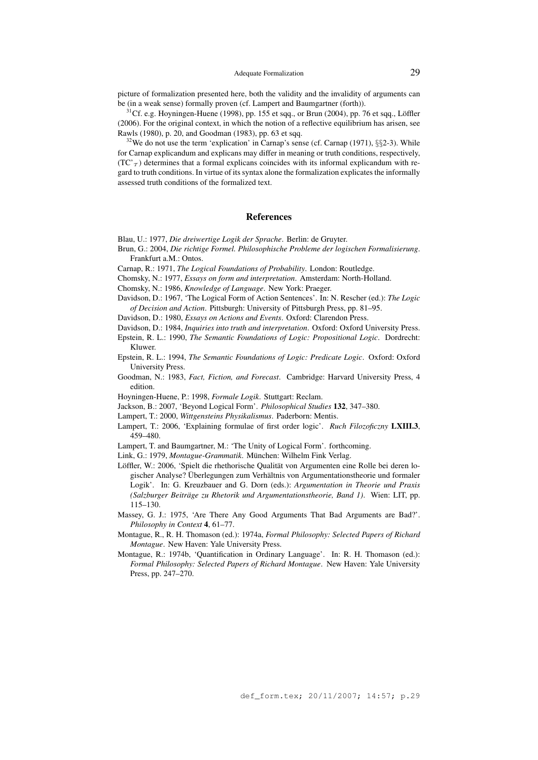picture of formalization presented here, both the validity and the invalidity of arguments can be (in a weak sense) formally proven (cf. Lampert and Baumgartner (forth)).

 $31$ Cf. e.g. Hoyningen-Huene (1998), pp. 155 et sqq., or Brun (2004), pp. 76 et sqq., Löffler (2006). For the original context, in which the notion of a reflective equilibrium has arisen, see Rawls (1980), p. 20, and Goodman (1983), pp. 63 et sqq.

 $32$  We do not use the term 'explication' in Carnap's sense (cf. Carnap (1971),  $\S$ §2-3). While for Carnap explicandum and explicans may differ in meaning or truth conditions, respectively,  $(TC<sub>T</sub>)$  determines that a formal explicans coincides with its informal explicandum with regard to truth conditions. In virtue of its syntax alone the formalization explicates the informally assessed truth conditions of the formalized text.

#### References

Blau, U.: 1977, *Die dreiwertige Logik der Sprache*. Berlin: de Gruyter.

Brun, G.: 2004, *Die richtige Formel. Philosophische Probleme der logischen Formalisierung*. Frankfurt a.M.: Ontos.

- Carnap, R.: 1971, *The Logical Foundations of Probability*. London: Routledge.
- Chomsky, N.: 1977, *Essays on form and interpretation*. Amsterdam: North-Holland.

Chomsky, N.: 1986, *Knowledge of Language*. New York: Praeger.

Davidson, D.: 1967, 'The Logical Form of Action Sentences'. In: N. Rescher (ed.): *The Logic of Decision and Action*. Pittsburgh: University of Pittsburgh Press, pp. 81–95.

Davidson, D.: 1980, *Essays on Actions and Events*. Oxford: Clarendon Press.

Davidson, D.: 1984, *Inquiries into truth and interpretation*. Oxford: Oxford University Press.

Epstein, R. L.: 1990, *The Semantic Foundations of Logic: Propositional Logic*. Dordrecht: Kluwer.

- Epstein, R. L.: 1994, *The Semantic Foundations of Logic: Predicate Logic*. Oxford: Oxford University Press.
- Goodman, N.: 1983, *Fact, Fiction, and Forecast*. Cambridge: Harvard University Press, 4 edition.

Hoyningen-Huene, P.: 1998, *Formale Logik*. Stuttgart: Reclam.

- Jackson, B.: 2007, 'Beyond Logical Form'. *Philosophical Studies* 132, 347–380.
- Lampert, T.: 2000, *Wittgensteins Physikalismus*. Paderborn: Mentis.
- Lampert, T.: 2006, 'Explaining formulae of first order logic'. *Ruch Filozoficzny* LXIII.3, 459–480.
- Lampert, T. and Baumgartner, M.: 'The Unity of Logical Form'. forthcoming.
- Link, G.: 1979, *Montague-Grammatik*. München: Wilhelm Fink Verlag.
- Löffler, W.: 2006, 'Spielt die rhethorische Qualität von Argumenten eine Rolle bei deren logischer Analyse? Überlegungen zum Verhältnis von Argumentationstheorie und formaler Logik'. In: G. Kreuzbauer and G. Dorn (eds.): *Argumentation in Theorie und Praxis (Salzburger Beitrage zu Rhetorik und Argumentationstheorie, Band 1) ¨* . Wien: LIT, pp. 115–130.
- Massey, G. J.: 1975, 'Are There Any Good Arguments That Bad Arguments are Bad?'. *Philosophy in Context* 4, 61–77.
- Montague, R., R. H. Thomason (ed.): 1974a, *Formal Philosophy: Selected Papers of Richard Montague*. New Haven: Yale University Press.
- Montague, R.: 1974b, 'Quantification in Ordinary Language'. In: R. H. Thomason (ed.): *Formal Philosophy: Selected Papers of Richard Montague*. New Haven: Yale University Press, pp. 247–270.